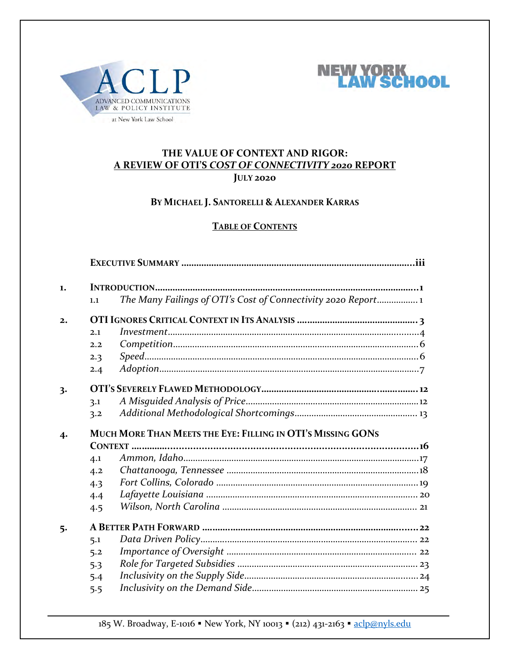



#### **THE VALUE OF CONTEXT AND RIGOR: A REVIEW OF OTI'S** *COST OF CONNECTIVITY 2020* **REPORT JULY 2020**

#### **BY MICHAEL J. SANTORELLI & ALEXANDER KARRAS**

#### **TABLE OF CONTENTS**

| 1.               |                                                             |                                                               |  |
|------------------|-------------------------------------------------------------|---------------------------------------------------------------|--|
|                  | 1.1                                                         | The Many Failings of OTI's Cost of Connectivity 2020 Report 1 |  |
| 2.               |                                                             |                                                               |  |
|                  | 2.1                                                         |                                                               |  |
|                  | 2.2                                                         |                                                               |  |
|                  | 2.3                                                         |                                                               |  |
|                  | 2.4                                                         |                                                               |  |
| 3.               |                                                             |                                                               |  |
|                  | 3.1                                                         |                                                               |  |
|                  | 3.2                                                         |                                                               |  |
| $\boldsymbol{4}$ | MUCH MORE THAN MEETS THE EYE: FILLING IN OTI'S MISSING GONS |                                                               |  |
|                  |                                                             |                                                               |  |
|                  | 4.1                                                         |                                                               |  |
|                  | 4.2                                                         |                                                               |  |
|                  | 4.3                                                         |                                                               |  |
|                  | 4.4                                                         |                                                               |  |
|                  | 4.5                                                         |                                                               |  |
| 5.               |                                                             |                                                               |  |
|                  | 5.1                                                         |                                                               |  |
|                  | 5.2                                                         |                                                               |  |
|                  | 5.3                                                         |                                                               |  |
|                  | 5.4                                                         |                                                               |  |
|                  | 5.5                                                         |                                                               |  |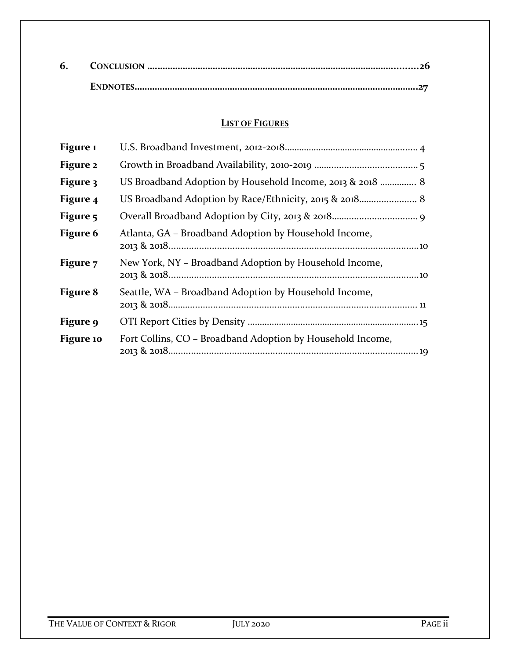#### **LIST OF FIGURES**

| Figure 1  |                                                            |
|-----------|------------------------------------------------------------|
| Figure 2  |                                                            |
| Figure 3  | US Broadband Adoption by Household Income, 2013 & 2018  8  |
| Figure 4  |                                                            |
| Figure 5  |                                                            |
| Figure 6  | Atlanta, GA – Broadband Adoption by Household Income,      |
| Figure 7  | New York, NY – Broadband Adoption by Household Income,     |
| Figure 8  | Seattle, WA – Broadband Adoption by Household Income,      |
| Figure 9  |                                                            |
| Figure 10 | Fort Collins, CO – Broadband Adoption by Household Income, |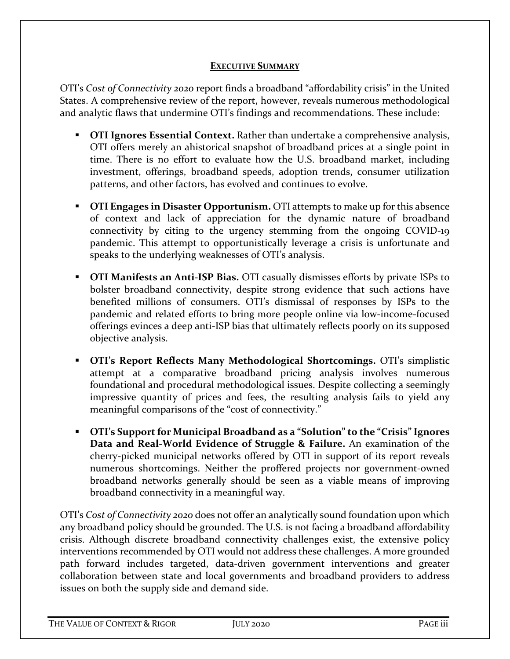#### **EXECUTIVE SUMMARY**

OTI's *Cost of Connectivity 2020* report finds a broadband "affordability crisis" in the United States. A comprehensive review of the report, however, reveals numerous methodological and analytic flaws that undermine OTI's findings and recommendations. These include:

- **OTI Ignores Essential Context.** Rather than undertake a comprehensive analysis, OTI offers merely an ahistorical snapshot of broadband prices at a single point in time. There is no effort to evaluate how the U.S. broadband market, including investment, offerings, broadband speeds, adoption trends, consumer utilization patterns, and other factors, has evolved and continues to evolve.
- **OTI Engages in Disaster Opportunism.** OTI attempts to make up for this absence of context and lack of appreciation for the dynamic nature of broadband connectivity by citing to the urgency stemming from the ongoing COVID-19 pandemic. This attempt to opportunistically leverage a crisis is unfortunate and speaks to the underlying weaknesses of OTI's analysis.
- **OTI Manifests an Anti-ISP Bias.** OTI casually dismisses efforts by private ISPs to bolster broadband connectivity, despite strong evidence that such actions have benefited millions of consumers. OTI's dismissal of responses by ISPs to the pandemic and related efforts to bring more people online via low-income-focused offerings evinces a deep anti-ISP bias that ultimately reflects poorly on its supposed objective analysis.
- **OTI's Report Reflects Many Methodological Shortcomings.** OTI's simplistic attempt at a comparative broadband pricing analysis involves numerous foundational and procedural methodological issues. Despite collecting a seemingly impressive quantity of prices and fees, the resulting analysis fails to yield any meaningful comparisons of the "cost of connectivity."
- **OTI's Support for Municipal Broadband as a "Solution" to the "Crisis" Ignores Data and Real-World Evidence of Struggle & Failure.** An examination of the cherry-picked municipal networks offered by OTI in support of its report reveals numerous shortcomings. Neither the proffered projects nor government-owned broadband networks generally should be seen as a viable means of improving broadband connectivity in a meaningful way.

OTI's *Cost of Connectivity 2020* does not offer an analytically sound foundation upon which any broadband policy should be grounded. The U.S. is not facing a broadband affordability crisis. Although discrete broadband connectivity challenges exist, the extensive policy interventions recommended by OTI would not address these challenges. A more grounded path forward includes targeted, data-driven government interventions and greater collaboration between state and local governments and broadband providers to address issues on both the supply side and demand side.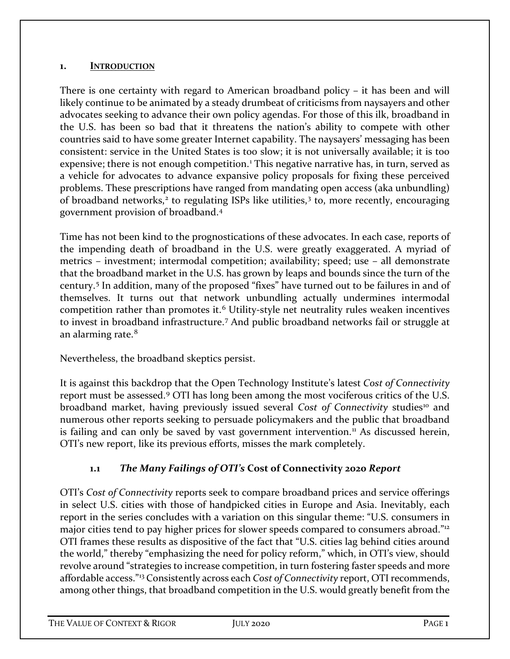#### **1. INTRODUCTION**

There is one certainty with regard to American broadband policy – it has been and will likely continue to be animated by a steady drumbeat of criticisms from naysayers and other advocates seeking to advance their own policy agendas. For those of this ilk, broadband in the U.S. has been so bad that it threatens the nation's ability to compete with other countries said to have some greater Internet capability. The naysayers' messaging has been consistent: service in the United States is too slow; it is not universally available; it is too expensive; there is not enough competition.<sup>[1](#page-30-0)</sup> This negative narrative has, in turn, served as a vehicle for advocates to advance expansive policy proposals for fixing these perceived problems. These prescriptions have ranged from mandating open access (aka unbundling) of broadband networks, $2$  to regulating ISPs like utilities, $3$  to, more recently, encouraging government provision of broadband.[4](#page-30-3)

Time has not been kind to the prognostications of these advocates. In each case, reports of the impending death of broadband in the U.S. were greatly exaggerated. A myriad of metrics – investment; intermodal competition; availability; speed; use – all demonstrate that the broadband market in the U.S. has grown by leaps and bounds since the turn of the century.[5](#page-30-4) In addition, many of the proposed "fixes" have turned out to be failures in and of themselves. It turns out that network unbundling actually undermines intermodal competition rather than promotes it.<sup>[6](#page-30-5)</sup> Utility-style net neutrality rules weaken incentives to invest in broadband infrastructure. [7](#page-30-6) And public broadband networks fail or struggle at an alarming rate.<sup>[8](#page-30-7)</sup>

Nevertheless, the broadband skeptics persist.

It is against this backdrop that the Open Technology Institute's latest *Cost of Connectivity*  report must be assessed.[9](#page-30-8) OTI has long been among the most vociferous critics of the U.S. broadband market, having previously issued several *Cost of Connectivity* studies<sup>[10](#page-30-9)</sup> and numerous other reports seeking to persuade policymakers and the public that broadband is failing and can only be saved by vast government intervention.<sup>11</sup> As discussed herein, OTI's new report, like its previous efforts, misses the mark completely.

## **1.1** *The Many Failings of OTI's* **Cost of Connectivity 2020** *Report*

OTI's *Cost of Connectivity* reports seek to compare broadband prices and service offerings in select U.S. cities with those of handpicked cities in Europe and Asia. Inevitably, each report in the series concludes with a variation on this singular theme: "U.S. consumers in major cities tend to pay higher prices for slower speeds compared to consumers abroad."<sup>[12](#page-30-11)</sup> OTI frames these results as dispositive of the fact that "U.S. cities lag behind cities around the world," thereby "emphasizing the need for policy reform," which, in OTI's view, should revolve around "strategies to increase competition, in turn fostering faster speeds and more affordable access."[13](#page-30-12) Consistently across each *Cost of Connectivity* report, OTI recommends, among other things, that broadband competition in the U.S. would greatly benefit from the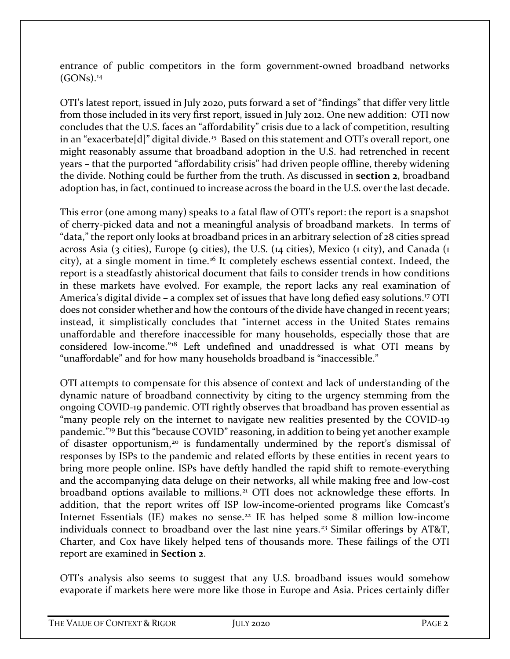entrance of public competitors in the form government-owned broadband networks  $(GONs).<sup>14</sup>$  $(GONs).<sup>14</sup>$  $(GONs).<sup>14</sup>$ 

OTI's latest report, issued in July 2020, puts forward a set of "findings" that differ very little from those included in its very first report, issued in July 2012. One new addition: OTI now concludes that the U.S. faces an "affordability" crisis due to a lack of competition, resulting in an "exacerbate[d]" digital divide.<sup>[15](#page-31-0)</sup> Based on this statement and OTI's overall report, one might reasonably assume that broadband adoption in the U.S. had retrenched in recent years – that the purported "affordability crisis" had driven people offline, thereby widening the divide. Nothing could be further from the truth. As discussed in **section 2**, broadband adoption has, in fact, continued to increase across the board in the U.S. over the last decade.

This error (one among many) speaks to a fatal flaw of OTI's report: the report is a snapshot of cherry-picked data and not a meaningful analysis of broadband markets. In terms of "data," the report only looks at broadband prices in an arbitrary selection of 28 cities spread across Asia (3 cities), Europe (9 cities), the U.S. (14 cities), Mexico (1 city), and Canada (1 city), at a single moment in time.<sup>[16](#page-31-1)</sup> It completely eschews essential context. Indeed, the report is a steadfastly ahistorical document that fails to consider trends in how conditions in these markets have evolved. For example, the report lacks any real examination of America's digital divide - a complex set of issues that have long defied easy solutions.<sup>[17](#page-31-2)</sup> OTI does not consider whether and how the contours of the divide have changed in recent years; instead, it simplistically concludes that "internet access in the United States remains unaffordable and therefore inaccessible for many households, especially those that are considered low-income."[18](#page-31-3) Left undefined and unaddressed is what OTI means by "unaffordable" and for how many households broadband is "inaccessible."

OTI attempts to compensate for this absence of context and lack of understanding of the dynamic nature of broadband connectivity by citing to the urgency stemming from the ongoing COVID-19 pandemic. OTI rightly observes that broadband has proven essential as "many people rely on the internet to navigate new realities presented by the COVID-19 pandemic."[19](#page-31-4) But this "because COVID" reasoning, in addition to being yet another example of disaster opportunism,[20](#page-31-5) is fundamentally undermined by the report's dismissal of responses by ISPs to the pandemic and related efforts by these entities in recent years to bring more people online. ISPs have deftly handled the rapid shift to remote-everything and the accompanying data deluge on their networks, all while making free and low-cost broadband options available to millions.<sup>[21](#page-31-6)</sup> OTI does not acknowledge these efforts. In addition, that the report writes off ISP low-income-oriented programs like Comcast's Internet Essentials (IE) makes no sense.<sup>[22](#page-31-7)</sup> IE has helped some 8 million low-income individuals connect to broadband over the last nine years.<sup>[23](#page-31-8)</sup> Similar offerings by AT&T, Charter, and Cox have likely helped tens of thousands more. These failings of the OTI report are examined in **Section 2**.

OTI's analysis also seems to suggest that any U.S. broadband issues would somehow evaporate if markets here were more like those in Europe and Asia. Prices certainly differ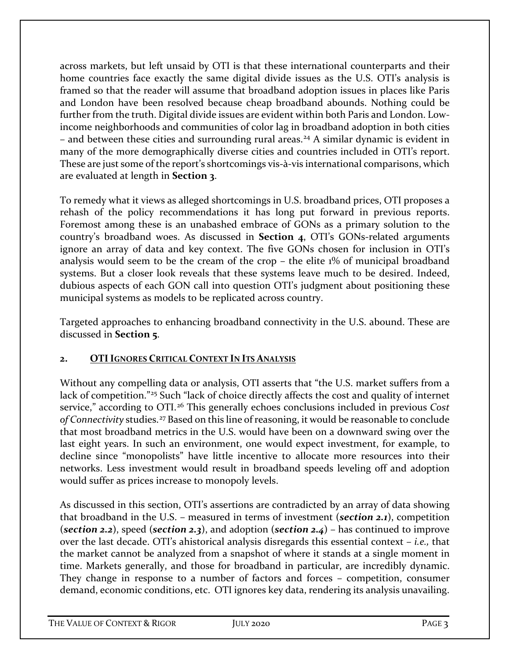across markets, but left unsaid by OTI is that these international counterparts and their home countries face exactly the same digital divide issues as the U.S. OTI's analysis is framed so that the reader will assume that broadband adoption issues in places like Paris and London have been resolved because cheap broadband abounds. Nothing could be further from the truth. Digital divide issues are evident within both Paris and London. Lowincome neighborhoods and communities of color lag in broadband adoption in both cities – and between these cities and surrounding rural areas.<sup>[24](#page-31-9)</sup> A similar dynamic is evident in many of the more demographically diverse cities and countries included in OTI's report. These are just some of the report's shortcomings vis-à-vis international comparisons, which are evaluated at length in **Section 3**.

To remedy what it views as alleged shortcomings in U.S. broadband prices, OTI proposes a rehash of the policy recommendations it has long put forward in previous reports. Foremost among these is an unabashed embrace of GONs as a primary solution to the country's broadband woes. As discussed in **Section 4**, OTI's GONs-related arguments ignore an array of data and key context. The five GONs chosen for inclusion in OTI's analysis would seem to be the cream of the crop – the elite 1% of municipal broadband systems. But a closer look reveals that these systems leave much to be desired. Indeed, dubious aspects of each GON call into question OTI's judgment about positioning these municipal systems as models to be replicated across country.

Targeted approaches to enhancing broadband connectivity in the U.S. abound. These are discussed in **Section 5**.

## **2. OTIIGNORES CRITICAL CONTEXT IN ITS ANALYSIS**

Without any compelling data or analysis, OTI asserts that "the U.S. market suffers from a lack of competition."<sup>[25](#page-31-10)</sup> Such "lack of choice directly affects the cost and quality of internet service," according to OTI.[26](#page-31-11) This generally echoes conclusions included in previous *Cost of Connectivity* studies.[27](#page-31-12) Based on this line of reasoning, it would be reasonable to conclude that most broadband metrics in the U.S. would have been on a downward swing over the last eight years. In such an environment, one would expect investment, for example, to decline since "monopolists" have little incentive to allocate more resources into their networks. Less investment would result in broadband speeds leveling off and adoption would suffer as prices increase to monopoly levels.

As discussed in this section, OTI's assertions are contradicted by an array of data showing that broadband in the U.S. – measured in terms of investment (*section 2.1*), competition (*section 2.2*), speed (*section 2.3*), and adoption (*section 2.4*) – has continued to improve over the last decade. OTI's ahistorical analysis disregards this essential context – *i.e.,* that the market cannot be analyzed from a snapshot of where it stands at a single moment in time. Markets generally, and those for broadband in particular, are incredibly dynamic. They change in response to a number of factors and forces – competition, consumer demand, economic conditions, etc. OTI ignores key data, rendering its analysis unavailing.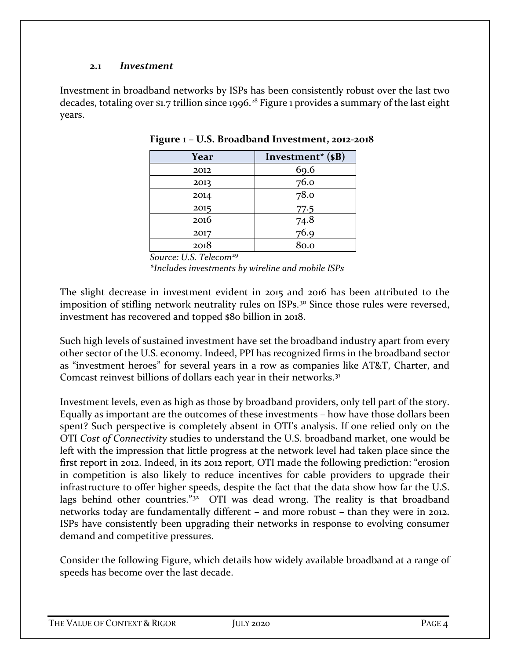#### **2.1** *Investment*

Investment in broadband networks by ISPs has been consistently robust over the last two decades, totaling over \$1.7 trillion since 1996.<sup>[28](#page-31-13)</sup> Figure 1 provides a summary of the last eight years.

| Year | Investment <sup>*</sup> (\$B) |
|------|-------------------------------|
| 2012 | 69.6                          |
| 2013 | 76.0                          |
| 2014 | 78.0                          |
| 2015 | 77.5                          |
| 2016 | 74.8                          |
| 2017 | 76.9                          |
| 2018 | 80.0                          |

**Figure 1 – U.S. Broadband Investment, 2012-2018**

*Source: U.S. Telecom*[29](#page-31-14)

*\*Includes investments by wireline and mobile ISPs* 

The slight decrease in investment evident in 2015 and 2016 has been attributed to the imposition of stifling network neutrality rules on ISPs.<sup>[30](#page-31-15)</sup> Since those rules were reversed, investment has recovered and topped \$80 billion in 2018.

Such high levels of sustained investment have set the broadband industry apart from every other sector of the U.S. economy. Indeed, PPI has recognized firms in the broadband sector as "investment heroes" for several years in a row as companies like AT&T, Charter, and Comcast reinvest billions of dollars each year in their networks.<sup>31</sup>

Investment levels, even as high as those by broadband providers, only tell part of the story. Equally as important are the outcomes of these investments – how have those dollars been spent? Such perspective is completely absent in OTI's analysis. If one relied only on the OTI *Cost of Connectivity* studies to understand the U.S. broadband market, one would be left with the impression that little progress at the network level had taken place since the first report in 2012. Indeed, in its 2012 report, OTI made the following prediction: "erosion in competition is also likely to reduce incentives for cable providers to upgrade their infrastructure to offer higher speeds, despite the fact that the data show how far the U.S. lags behind other countries."<sup>[32](#page-31-17)</sup> OTI was dead wrong. The reality is that broadband networks today are fundamentally different – and more robust – than they were in 2012. ISPs have consistently been upgrading their networks in response to evolving consumer demand and competitive pressures.

Consider the following Figure, which details how widely available broadband at a range of speeds has become over the last decade.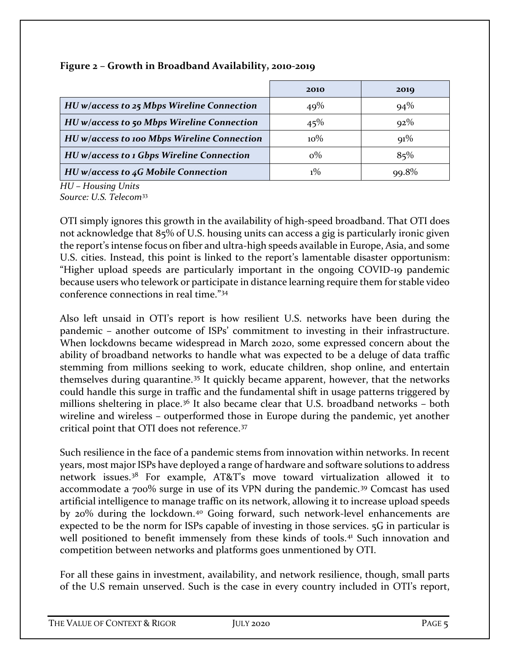|                                              | 2010   | 2019     |
|----------------------------------------------|--------|----------|
| $HU$ w/access to 25 Mbps Wireline Connection | 49%    | $94\%$   |
| HU w/access to 50 Mbps Wireline Connection   | 45%    | $92\%$   |
| HU w/access to 100 Mbps Wireline Connection  | $10\%$ | $91\%$   |
| HU w/access to 1 Gbps Wireline Connection    | ი%     | 85%      |
| $HU$ w/access to 4G Mobile Connection        |        | $99.8\%$ |

#### **Figure 2 – Growth in Broadband Availability, 2010-2019**

*HU – Housing Units Source: U.S. Telecom*[33](#page-31-18)

OTI simply ignores this growth in the availability of high-speed broadband. That OTI does not acknowledge that 85% of U.S. housing units can access a gig is particularly ironic given the report's intense focus on fiber and ultra-high speeds available in Europe, Asia, and some U.S. cities. Instead, this point is linked to the report's lamentable disaster opportunism: "Higher upload speeds are particularly important in the ongoing COVID-19 pandemic because users who telework or participate in distance learning require them for stable video conference connections in real time."[34](#page-31-19)

Also left unsaid in OTI's report is how resilient U.S. networks have been during the pandemic – another outcome of ISPs' commitment to investing in their infrastructure. When lockdowns became widespread in March 2020, some expressed concern about the ability of broadband networks to handle what was expected to be a deluge of data traffic stemming from millions seeking to work, educate children, shop online, and entertain themselves during quarantine.[35](#page-31-20) It quickly became apparent, however, that the networks could handle this surge in traffic and the fundamental shift in usage patterns triggered by millions sheltering in place.<sup>[36](#page-31-21)</sup> It also became clear that U.S. broadband networks - both wireline and wireless – outperformed those in Europe during the pandemic, yet another critical point that OTI does not reference.[37](#page-31-22)

Such resilience in the face of a pandemic stems from innovation within networks. In recent years, most major ISPs have deployed a range of hardware and software solutions to address network issues.[38](#page-32-0) For example, AT&T's move toward virtualization allowed it to accommodate a 700% surge in use of its VPN during the pandemic.[39](#page-32-1) Comcast has used artificial intelligence to manage traffic on its network, allowing it to increase upload speeds by 20% during the lockdown.<sup>[40](#page-32-2)</sup> Going forward, such network-level enhancements are expected to be the norm for ISPs capable of investing in those services. 5G in particular is well positioned to benefit immensely from these kinds of tools.<sup>[41](#page-32-3)</sup> Such innovation and competition between networks and platforms goes unmentioned by OTI.

For all these gains in investment, availability, and network resilience, though, small parts of the U.S remain unserved. Such is the case in every country included in OTI's report,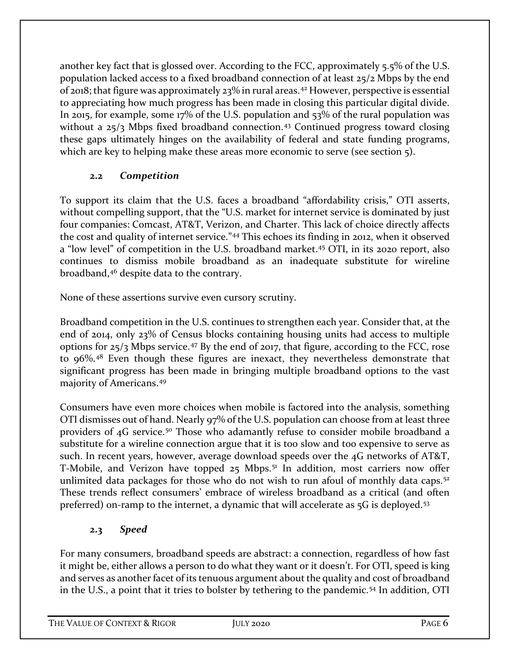another key fact that is glossed over. According to the FCC, approximately 5.5% of the U.S. population lacked access to a fixed broadband connection of at least 25/2 Mbps by the end of 2018; that figure was approximately 23% in rural areas.[42](#page-32-4) However, perspective is essential to appreciating how much progress has been made in closing this particular digital divide. In 2015, for example, some 17% of the U.S. population and 53% of the rural population was without a  $25/3$  Mbps fixed broadband connection.<sup>[43](#page-32-5)</sup> Continued progress toward closing these gaps ultimately hinges on the availability of federal and state funding programs, which are key to helping make these areas more economic to serve (see section 5).

## **2.2** *Competition*

To support its claim that the U.S. faces a broadband "affordability crisis," OTI asserts, without compelling support, that the "U.S. market for internet service is dominated by just four companies: Comcast, AT&T, Verizon, and Charter. This lack of choice directly affects the cost and quality of internet service."[44](#page-32-6) This echoes its finding in 2012, when it observed a "low level" of competition in the U.S. broadband market.[45](#page-32-7) OTI, in its 2020 report, also continues to dismiss mobile broadband as an inadequate substitute for wireline broadband,[46](#page-32-8) despite data to the contrary.

None of these assertions survive even cursory scrutiny.

Broadband competition in the U.S. continues to strengthen each year. Consider that, at the end of 2014, only 23% of Census blocks containing housing units had access to multiple options for  $25/3$  Mbps service.<sup>[47](#page-32-9)</sup> By the end of 2017, that figure, according to the FCC, rose to 96%.[48](#page-32-10) Even though these figures are inexact, they nevertheless demonstrate that significant progress has been made in bringing multiple broadband options to the vast majority of Americans.[49](#page-32-11) 

Consumers have even more choices when mobile is factored into the analysis, something OTI dismisses out of hand. Nearly 97% of the U.S. population can choose from at least three providers of 4G service.<sup>[50](#page-32-12)</sup> Those who adamantly refuse to consider mobile broadband a substitute for a wireline connection argue that it is too slow and too expensive to serve as such. In recent years, however, average download speeds over the 4G networks of AT&T, T-Mobile, and Verizon have topped 25 Mbps.<sup>[51](#page-32-13)</sup> In addition, most carriers now offer unlimited data packages for those who do not wish to run afoul of monthly data caps.<sup>[52](#page-32-14)</sup> These trends reflect consumers' embrace of wireless broadband as a critical (and often preferred) on-ramp to the internet, a dynamic that will accelerate as 5G is deployed.<sup>53</sup>

# **2.3** *Speed*

For many consumers, broadband speeds are abstract: a connection, regardless of how fast it might be, either allows a person to do what they want or it doesn't. For OTI, speed is king and serves as another facet of its tenuous argument about the quality and cost of broadband in the U.S., a point that it tries to bolster by tethering to the pandemic.[54](#page-32-16) In addition, OTI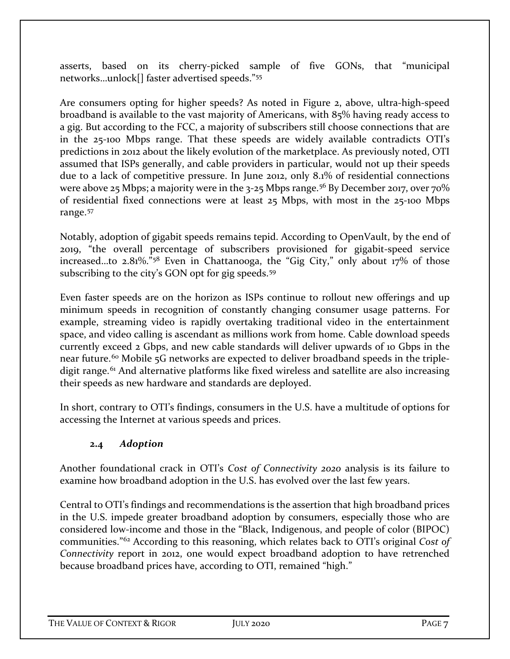asserts, based on its cherry-picked sample of five GONs, that "municipal networks…unlock[] faster advertised speeds."[55](#page-32-17)

Are consumers opting for higher speeds? As noted in Figure 2, above, ultra-high-speed broadband is available to the vast majority of Americans, with 85% having ready access to a gig. But according to the FCC, a majority of subscribers still choose connections that are in the 25-100 Mbps range. That these speeds are widely available contradicts OTI's predictions in 2012 about the likely evolution of the marketplace. As previously noted, OTI assumed that ISPs generally, and cable providers in particular, would not up their speeds due to a lack of competitive pressure. In June 2012, only 8.1% of residential connections were above 25 Mbps; a majority were in the  $3-25$  Mbps range.<sup>[56](#page-32-18)</sup> By December 2017, over 70% of residential fixed connections were at least 25 Mbps, with most in the 25-100 Mbps range.<sup>[57](#page-33-0)</sup>

Notably, adoption of gigabit speeds remains tepid. According to OpenVault, by the end of 2019, "the overall percentage of subscribers provisioned for gigabit-speed service increased…to 2.81%."[58](#page-33-1) Even in Chattanooga, the "Gig City," only about 17% of those subscribing to the city's GON opt for gig speeds.<sup>[59](#page-33-2)</sup>

Even faster speeds are on the horizon as ISPs continue to rollout new offerings and up minimum speeds in recognition of constantly changing consumer usage patterns. For example, streaming video is rapidly overtaking traditional video in the entertainment space, and video calling is ascendant as millions work from home. Cable download speeds currently exceed 2 Gbps, and new cable standards will deliver upwards of 10 Gbps in the near future.<sup>60</sup> Mobile 5G networks are expected to deliver broadband speeds in the triple-digit range.<sup>[61](#page-33-4)</sup> And alternative platforms like fixed wireless and satellite are also increasing their speeds as new hardware and standards are deployed.

In short, contrary to OTI's findings, consumers in the U.S. have a multitude of options for accessing the Internet at various speeds and prices.

#### **2.4** *Adoption*

Another foundational crack in OTI's *Cost of Connectivity 2020* analysis is its failure to examine how broadband adoption in the U.S. has evolved over the last few years.

Central to OTI's findings and recommendations is the assertion that high broadband prices in the U.S. impede greater broadband adoption by consumers, especially those who are considered low-income and those in the "Black, Indigenous, and people of color (BIPOC) communities."[62](#page-33-5) According to this reasoning, which relates back to OTI's original *Cost of Connectivity* report in 2012, one would expect broadband adoption to have retrenched because broadband prices have, according to OTI, remained "high."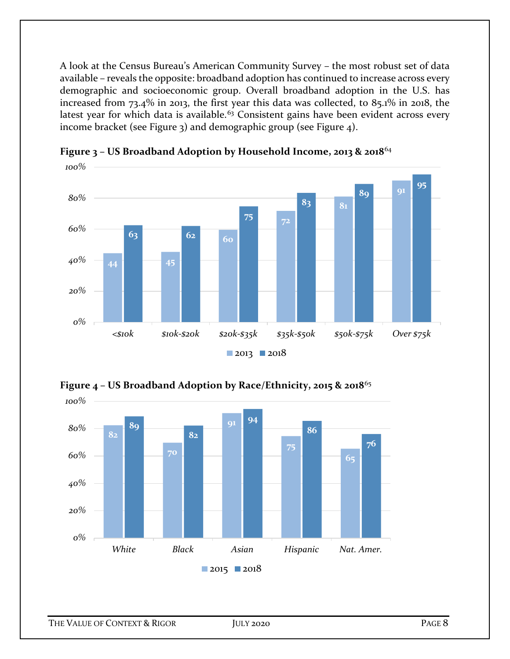A look at the Census Bureau's American Community Survey – the most robust set of data available – reveals the opposite: broadband adoption has continued to increase across every demographic and socioeconomic group. Overall broadband adoption in the U.S. has increased from 73.4% in 2013, the first year this data was collected, to 85.1% in 2018, the latest year for which data is available.<sup>[63](#page-33-6)</sup> Consistent gains have been evident across every income bracket (see Figure 3) and demographic group (see Figure 4).



**Figure 3 – US Broadband Adoption by Household Income, 2013 & 2018**[64](#page-33-7)



**Figure 4 – US Broadband Adoption by Race/Ethnicity, 2015 & 2018**[65](#page-33-8)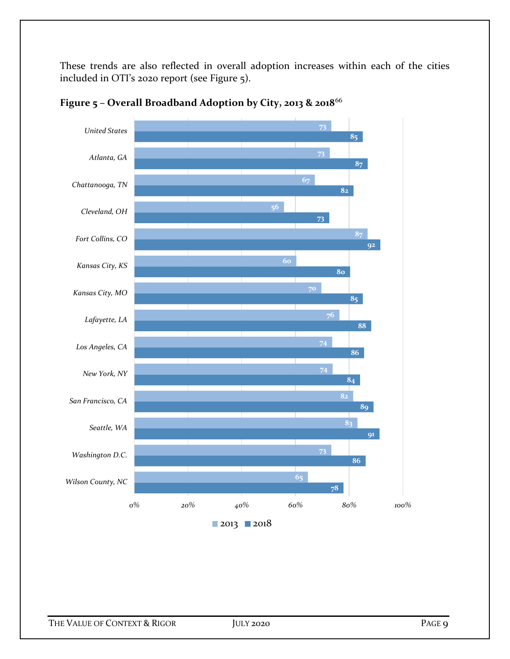These trends are also reflected in overall adoption increases within each of the cities included in OTI's 2020 report (see Figure 5).



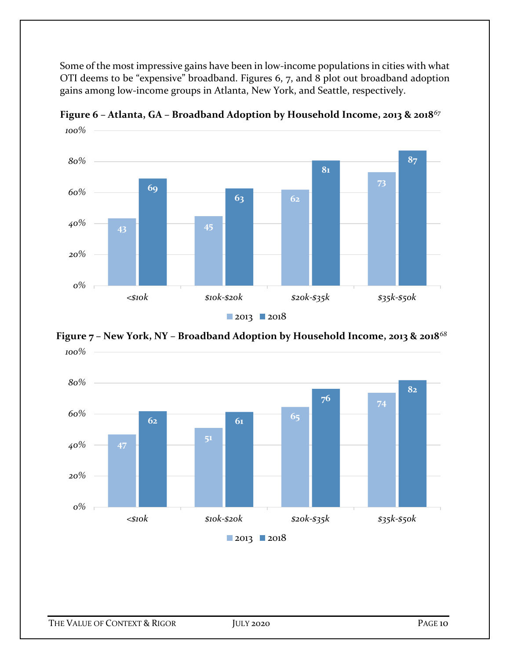Some of the most impressive gains have been in low-income populations in cities with what OTI deems to be "expensive" broadband. Figures 6, 7, and 8 plot out broadband adoption gains among low-income groups in Atlanta, New York, and Seattle, respectively.



**Figure 6 – Atlanta, GA – Broadband Adoption by Household Income, 2013 & 2018***[67](#page-33-10)*



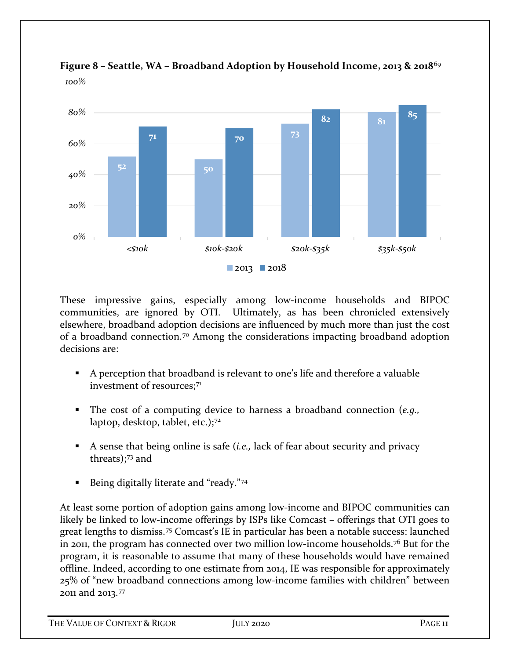

**Figure 8 – Seattle, WA – Broadband Adoption by Household Income, 2013 & 2018**[69](#page-33-12) *100%*

These impressive gains, especially among low-income households and BIPOC communities, are ignored by OTI. Ultimately, as has been chronicled extensively elsewhere, broadband adoption decisions are influenced by much more than just the cost of a broadband connection.[70](#page-33-13) Among the considerations impacting broadband adoption decisions are:

- A perception that broadband is relevant to one's life and therefore a valuable investment of resources:<sup>71</sup>
- The cost of a computing device to harness a broadband connection (*e.g.,*  laptop, desktop, tablet, etc.);[72](#page-33-15)
- A sense that being online is safe (*i.e.,* lack of fear about security and privacy threats);[73](#page-33-16) and
- **Being digitally literate and "ready."**[74](#page-33-17)

At least some portion of adoption gains among low-income and BIPOC communities can likely be linked to low-income offerings by ISPs like Comcast – offerings that OTI goes to great lengths to dismiss.[75](#page-33-18) Comcast's IE in particular has been a notable success: launched in 2011, the program has connected over two million low-income households.[76](#page-33-19) But for the program, it is reasonable to assume that many of these households would have remained offline. Indeed, according to one estimate from 2014, IE was responsible for approximately 25% of "new broadband connections among low-income families with children" between 2011 and 2013.[77](#page-33-20)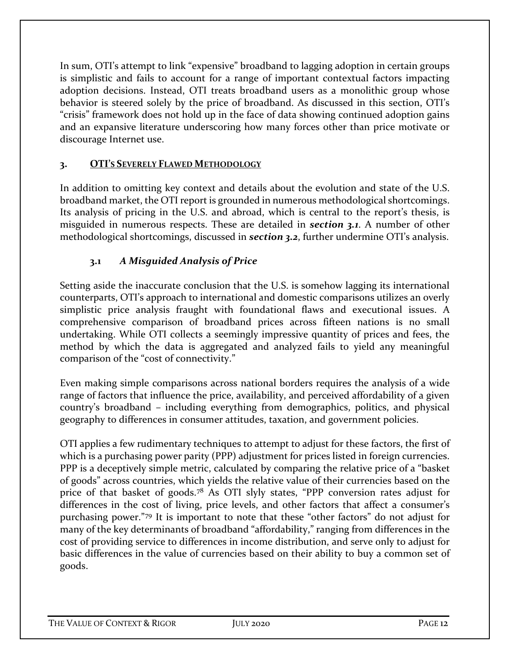In sum, OTI's attempt to link "expensive" broadband to lagging adoption in certain groups is simplistic and fails to account for a range of important contextual factors impacting adoption decisions. Instead, OTI treats broadband users as a monolithic group whose behavior is steered solely by the price of broadband. As discussed in this section, OTI's "crisis" framework does not hold up in the face of data showing continued adoption gains and an expansive literature underscoring how many forces other than price motivate or discourage Internet use.

#### **3. OTI'S SEVERELY FLAWED METHODOLOGY**

In addition to omitting key context and details about the evolution and state of the U.S. broadband market, the OTI report is grounded in numerous methodological shortcomings. Its analysis of pricing in the U.S. and abroad, which is central to the report's thesis, is misguided in numerous respects. These are detailed in *section 3.1*. A number of other methodological shortcomings, discussed in *section 3.2*, further undermine OTI's analysis.

## **3.1** *A Misguided Analysis of Price*

Setting aside the inaccurate conclusion that the U.S. is somehow lagging its international counterparts, OTI's approach to international and domestic comparisons utilizes an overly simplistic price analysis fraught with foundational flaws and executional issues. A comprehensive comparison of broadband prices across fifteen nations is no small undertaking. While OTI collects a seemingly impressive quantity of prices and fees, the method by which the data is aggregated and analyzed fails to yield any meaningful comparison of the "cost of connectivity."

Even making simple comparisons across national borders requires the analysis of a wide range of factors that influence the price, availability, and perceived affordability of a given country's broadband – including everything from demographics, politics, and physical geography to differences in consumer attitudes, taxation, and government policies.

OTI applies a few rudimentary techniques to attempt to adjust for these factors, the first of which is a purchasing power parity (PPP) adjustment for prices listed in foreign currencies. PPP is a deceptively simple metric, calculated by comparing the relative price of a "basket of goods" across countries, which yields the relative value of their currencies based on the price of that basket of goods.[78](#page-33-21) As OTI slyly states, "PPP conversion rates adjust for differences in the cost of living, price levels, and other factors that affect a consumer's purchasing power."[79](#page-34-0) It is important to note that these "other factors" do not adjust for many of the key determinants of broadband "affordability," ranging from differences in the cost of providing service to differences in income distribution, and serve only to adjust for basic differences in the value of currencies based on their ability to buy a common set of goods.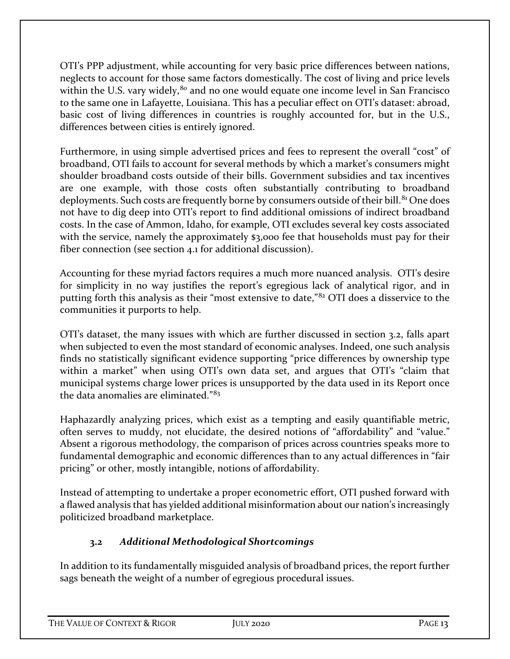OTI's PPP adjustment, while accounting for very basic price differences between nations, neglects to account for those same factors domestically. The cost of living and price levels within the U.S. vary widely, $80$  and no one would equate one income level in San Francisco to the same one in Lafayette, Louisiana. This has a peculiar effect on OTI's dataset: abroad, basic cost of living differences in countries is roughly accounted for, but in the U.S., differences between cities is entirely ignored.

Furthermore, in using simple advertised prices and fees to represent the overall "cost" of broadband, OTI fails to account for several methods by which a market's consumers might shoulder broadband costs outside of their bills. Government subsidies and tax incentives are one example, with those costs often substantially contributing to broadband deployments. Such costs are frequently borne by consumers outside of their bill.<sup>[81](#page-34-2)</sup> One does not have to dig deep into OTI's report to find additional omissions of indirect broadband costs. In the case of Ammon, Idaho, for example, OTI excludes several key costs associated with the service, namely the approximately \$3,000 fee that households must pay for their fiber connection (see section 4.1 for additional discussion).

Accounting for these myriad factors requires a much more nuanced analysis. OTI's desire for simplicity in no way justifies the report's egregious lack of analytical rigor, and in putting forth this analysis as their "most extensive to date,"[82](#page-34-3) OTI does a disservice to the communities it purports to help.

OTI's dataset, the many issues with which are further discussed in section 3.2, falls apart when subjected to even the most standard of economic analyses. Indeed, one such analysis finds no statistically significant evidence supporting "price differences by ownership type within a market" when using OTI's own data set, and argues that OTI's "claim that municipal systems charge lower prices is unsupported by the data used in its Report once the data anomalies are eliminated."[83](#page-34-4)

Haphazardly analyzing prices, which exist as a tempting and easily quantifiable metric, often serves to muddy, not elucidate, the desired notions of "affordability" and "value." Absent a rigorous methodology, the comparison of prices across countries speaks more to fundamental demographic and economic differences than to any actual differences in "fair pricing" or other, mostly intangible, notions of affordability.

Instead of attempting to undertake a proper econometric effort, OTI pushed forward with a flawed analysis that has yielded additional misinformation about our nation's increasingly politicized broadband marketplace.

# **3.2** *Additional Methodological Shortcomings*

In addition to its fundamentally misguided analysis of broadband prices, the report further sags beneath the weight of a number of egregious procedural issues.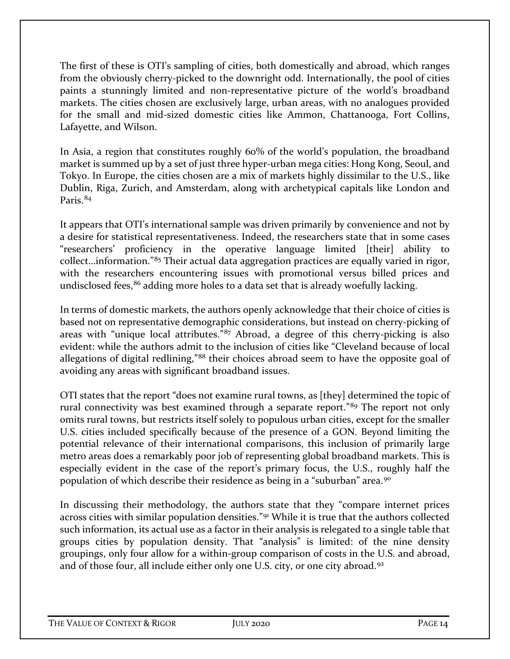The first of these is OTI's sampling of cities, both domestically and abroad, which ranges from the obviously cherry-picked to the downright odd. Internationally, the pool of cities paints a stunningly limited and non-representative picture of the world's broadband markets. The cities chosen are exclusively large, urban areas, with no analogues provided for the small and mid-sized domestic cities like Ammon, Chattanooga, Fort Collins, Lafayette, and Wilson.

In Asia, a region that constitutes roughly 60% of the world's population, the broadband market is summed up by a set of just three hyper-urban mega cities: Hong Kong, Seoul, and Tokyo. In Europe, the cities chosen are a mix of markets highly dissimilar to the U.S., like Dublin, Riga, Zurich, and Amsterdam, along with archetypical capitals like London and Paris.[84](#page-34-5)

It appears that OTI's international sample was driven primarily by convenience and not by a desire for statistical representativeness. Indeed, the researchers state that in some cases "researchers' proficiency in the operative language limited [their] ability to collect…information."[85](#page-34-6) Their actual data aggregation practices are equally varied in rigor, with the researchers encountering issues with promotional versus billed prices and undisclosed fees,<sup>[86](#page-34-7)</sup> adding more holes to a data set that is already woefully lacking.

In terms of domestic markets, the authors openly acknowledge that their choice of cities is based not on representative demographic considerations, but instead on cherry-picking of areas with "unique local attributes."[87](#page-34-8) Abroad, a degree of this cherry-picking is also evident: while the authors admit to the inclusion of cities like "Cleveland because of local allegations of digital redlining,"[88](#page-34-9) their choices abroad seem to have the opposite goal of avoiding any areas with significant broadband issues.

OTI states that the report "does not examine rural towns, as [they] determined the topic of rural connectivity was best examined through a separate report."<sup>[89](#page-34-10)</sup> The report not only omits rural towns, but restricts itself solely to populous urban cities, except for the smaller U.S. cities included specifically because of the presence of a GON. Beyond limiting the potential relevance of their international comparisons, this inclusion of primarily large metro areas does a remarkably poor job of representing global broadband markets. This is especially evident in the case of the report's primary focus, the U.S., roughly half the population of which describe their residence as being in a "suburban" area.[90](#page-34-11)

In discussing their methodology, the authors state that they "compare internet prices across cities with similar population densities."[91](#page-34-12) While it is true that the authors collected such information, its actual use as a factor in their analysis is relegated to a single table that groups cities by population density. That "analysis" is limited: of the nine density groupings, only four allow for a within-group comparison of costs in the U.S. and abroad, and of those four, all include either only one U.S. city, or one city abroad.<sup>[92](#page-34-13)</sup>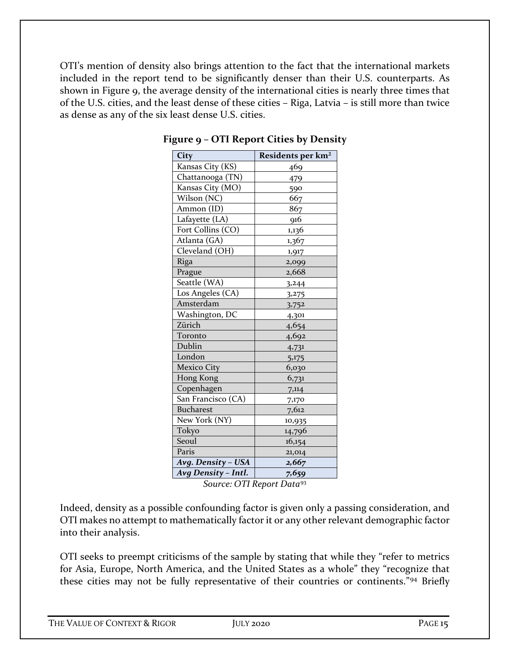OTI's mention of density also brings attention to the fact that the international markets included in the report tend to be significantly denser than their U.S. counterparts. As shown in Figure 9, the average density of the international cities is nearly three times that of the U.S. cities, and the least dense of these cities – Riga, Latvia – is still more than twice as dense as any of the six least dense U.S. cities.

| City                | Residents per km <sup>2</sup> |  |
|---------------------|-------------------------------|--|
| Kansas City (KS)    | 469                           |  |
| Chattanooga (TN)    | 479                           |  |
| Kansas City (MO)    | 590                           |  |
| Wilson (NC)         | 667                           |  |
| Ammon (ID)          | 867                           |  |
| Lafayette (LA)      | 916                           |  |
| Fort Collins (CO)   | 1,136                         |  |
| Atlanta (GA)        | 1,367                         |  |
| Cleveland (OH)      | 1,917                         |  |
| Riga                | 2,099                         |  |
| Prague              | 2,668                         |  |
| Seattle (WA)        | 3,244                         |  |
| Los Angeles (CA)    | 3,275                         |  |
| Amsterdam           | 3,752                         |  |
| Washington, DC      | 4,301                         |  |
| Zürich              | 4,654                         |  |
| Toronto             | 4,692                         |  |
| Dublin              | 4,731                         |  |
| London              | 5,175                         |  |
| <b>Mexico City</b>  | 6,030                         |  |
| Hong Kong           | 6,731                         |  |
| Copenhagen          | 7,114                         |  |
| San Francisco (CA)  | 7,170                         |  |
| <b>Bucharest</b>    | 7,612                         |  |
| New York (NY)       | 10,935                        |  |
| Tokyo               | 14,796                        |  |
| Seoul               | 16,154                        |  |
| Paris               | 21,014                        |  |
| Avg. Density - USA  | 2,667                         |  |
| Avg Density - Intl. | 7,659                         |  |

**Figure 9 – OTI Report Cities by Density**

*Source: OTI Report Data*[93](#page-34-14)

Indeed, density as a possible confounding factor is given only a passing consideration, and OTI makes no attempt to mathematically factor it or any other relevant demographic factor into their analysis.

OTI seeks to preempt criticisms of the sample by stating that while they "refer to metrics for Asia, Europe, North America, and the United States as a whole" they "recognize that these cities may not be fully representative of their countries or continents."[94](#page-34-15) Briefly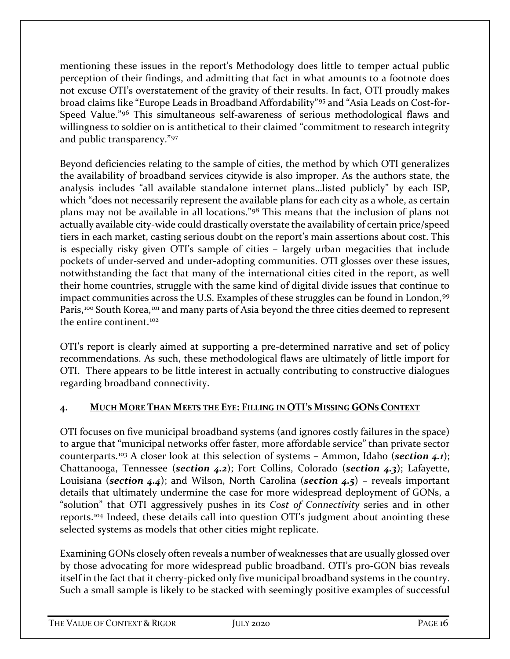mentioning these issues in the report's Methodology does little to temper actual public perception of their findings, and admitting that fact in what amounts to a footnote does not excuse OTI's overstatement of the gravity of their results. In fact, OTI proudly makes broad claims like "Europe Leads in Broadband Affordability"[95](#page-34-16) and "Asia Leads on Cost-for-Speed Value."[96](#page-34-17) This simultaneous self-awareness of serious methodological flaws and willingness to soldier on is antithetical to their claimed "commitment to research integrity and public transparency."[97](#page-34-18)

Beyond deficiencies relating to the sample of cities, the method by which OTI generalizes the availability of broadband services citywide is also improper. As the authors state, the analysis includes "all available standalone internet plans…listed publicly" by each ISP, which "does not necessarily represent the available plans for each city as a whole, as certain plans may not be available in all locations."[98](#page-34-19) This means that the inclusion of plans not actually available city-wide could drastically overstate the availability of certain price/speed tiers in each market, casting serious doubt on the report's main assertions about cost. This is especially risky given OTI's sample of cities – largely urban megacities that include pockets of under-served and under-adopting communities. OTI glosses over these issues, notwithstanding the fact that many of the international cities cited in the report, as well their home countries, struggle with the same kind of digital divide issues that continue to impact communities across the U.S. Examples of these struggles can be found in London, [99](#page-34-20) Paris,<sup>[100](#page-34-21)</sup> South Korea,<sup>[101](#page-34-22)</sup> and many parts of Asia beyond the three cities deemed to represent the entire continent  $102$ 

OTI's report is clearly aimed at supporting a pre-determined narrative and set of policy recommendations. As such, these methodological flaws are ultimately of little import for OTI. There appears to be little interest in actually contributing to constructive dialogues regarding broadband connectivity.

## **4. MUCH MORE THAN MEETS THE EYE: FILLING IN OTI'S MISSING GONS CONTEXT**

OTI focuses on five municipal broadband systems (and ignores costly failures in the space) to argue that "municipal networks offer faster, more affordable service" than private sector counterparts.[103](#page-35-1) A closer look at this selection of systems – Ammon, Idaho (*section 4.1*); Chattanooga, Tennessee (*section 4.2*); Fort Collins, Colorado (*section 4.3*); Lafayette, Louisiana (*section 4.4*); and Wilson, North Carolina (*section 4.5*) – reveals important details that ultimately undermine the case for more widespread deployment of GONs, a "solution" that OTI aggressively pushes in its *Cost of Connectivity* series and in other reports. [104](#page-35-2) Indeed, these details call into question OTI's judgment about anointing these selected systems as models that other cities might replicate.

Examining GONs closely often reveals a number of weaknesses that are usually glossed over by those advocating for more widespread public broadband. OTI's pro-GON bias reveals itself in the fact that it cherry-picked only five municipal broadband systems in the country. Such a small sample is likely to be stacked with seemingly positive examples of successful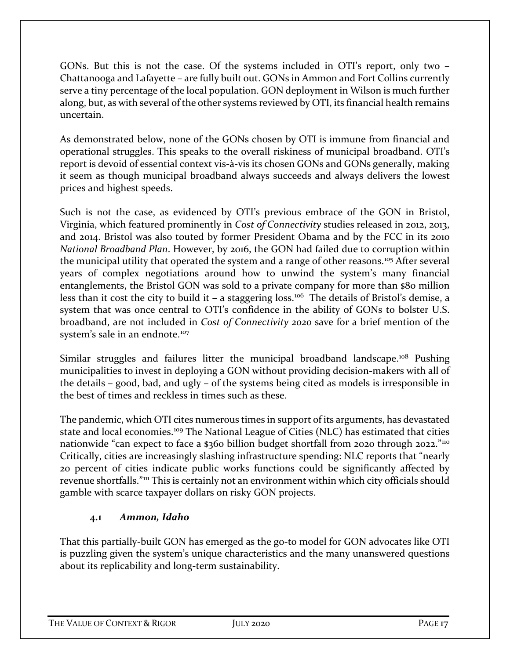GONs. But this is not the case. Of the systems included in OTI's report, only two – Chattanooga and Lafayette – are fully built out. GONs in Ammon and Fort Collins currently serve a tiny percentage of the local population. GON deployment in Wilson is much further along, but, as with several of the other systems reviewed by OTI, its financial health remains uncertain.

As demonstrated below, none of the GONs chosen by OTI is immune from financial and operational struggles. This speaks to the overall riskiness of municipal broadband. OTI's report is devoid of essential context vis-à-vis its chosen GONs and GONs generally, making it seem as though municipal broadband always succeeds and always delivers the lowest prices and highest speeds.

Such is not the case, as evidenced by OTI's previous embrace of the GON in Bristol, Virginia, which featured prominently in *Cost of Connectivity* studies released in 2012, 2013, and 2014. Bristol was also touted by former President Obama and by the FCC in its 2010 *National Broadband Plan*. However, by 2016, the GON had failed due to corruption within the municipal utility that operated the system and a range of other reasons.<sup>[105](#page-35-3)</sup> After several years of complex negotiations around how to unwind the system's many financial entanglements, the Bristol GON was sold to a private company for more than \$80 million less than it cost the city to build it – a staggering loss.<sup>106</sup> The details of Bristol's demise, a system that was once central to OTI's confidence in the ability of GONs to bolster U.S. broadband, are not included in *Cost of Connectivity 2020* save for a brief mention of the system's sale in an endnote.<sup>[107](#page-35-5)</sup>

Similar struggles and failures litter the municipal broadband landscape.<sup>[108](#page-35-6)</sup> Pushing municipalities to invest in deploying a GON without providing decision-makers with all of the details – good, bad, and ugly – of the systems being cited as models is irresponsible in the best of times and reckless in times such as these.

The pandemic, which OTI cites numerous times in support of its arguments, has devastated state and local economies.<sup>[109](#page-35-7)</sup> The National League of Cities (NLC) has estimated that cities nationwide "can expect to face a \$360 billion budget shortfall from 2020 through 2022."<sup>[110](#page-35-8)</sup> Critically, cities are increasingly slashing infrastructure spending: NLC reports that "nearly 20 percent of cities indicate public works functions could be significantly affected by revenue shortfalls."<sup>[111](#page-35-9)</sup> This is certainly not an environment within which city officials should gamble with scarce taxpayer dollars on risky GON projects.

## **4.1** *Ammon, Idaho*

That this partially-built GON has emerged as the go-to model for GON advocates like OTI is puzzling given the system's unique characteristics and the many unanswered questions about its replicability and long-term sustainability.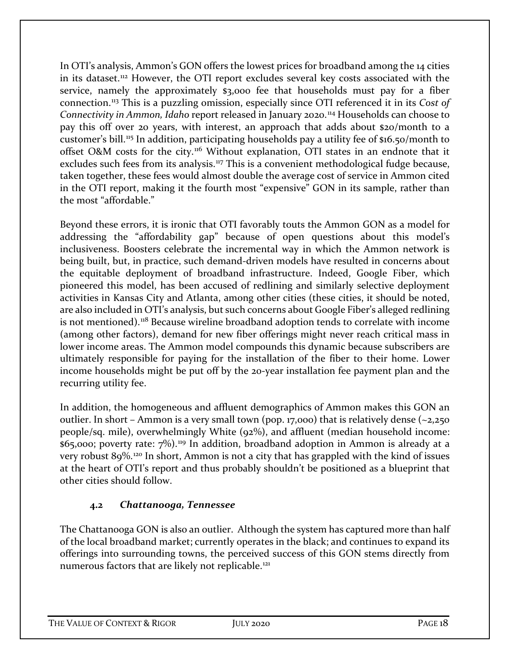In OTI's analysis, Ammon's GON offers the lowest prices for broadband among the 14 cities in its dataset.[112](#page-35-10) However, the OTI report excludes several key costs associated with the service, namely the approximately \$3,000 fee that households must pay for a fiber connection.[113](#page-35-11) This is a puzzling omission, especially since OTI referenced it in its *Cost of Connectivity in Ammon, Idaho* report released in January 2020.[114](#page-35-12) Households can choose to pay this off over 20 years, with interest, an approach that adds about \$20/month to a customer's bill[.115](#page-35-13) In addition, participating households pay a utility fee of \$16.50/month to offset O&M costs for the city.<sup>[116](#page-35-14)</sup> Without explanation, OTI states in an endnote that it excludes such fees from its analysis.<sup>[117](#page-35-15)</sup> This is a convenient methodological fudge because, taken together, these fees would almost double the average cost of service in Ammon cited in the OTI report, making it the fourth most "expensive" GON in its sample, rather than the most "affordable."

Beyond these errors, it is ironic that OTI favorably touts the Ammon GON as a model for addressing the "affordability gap" because of open questions about this model's inclusiveness. Boosters celebrate the incremental way in which the Ammon network is being built, but, in practice, such demand-driven models have resulted in concerns about the equitable deployment of broadband infrastructure. Indeed, Google Fiber, which pioneered this model, has been accused of redlining and similarly selective deployment activities in Kansas City and Atlanta, among other cities (these cities, it should be noted, are also included in OTI's analysis, but such concerns about Google Fiber's alleged redlining is not mentioned).<sup>[118](#page-35-16)</sup> Because wireline broadband adoption tends to correlate with income (among other factors), demand for new fiber offerings might never reach critical mass in lower income areas. The Ammon model compounds this dynamic because subscribers are ultimately responsible for paying for the installation of the fiber to their home. Lower income households might be put off by the 20-year installation fee payment plan and the recurring utility fee.

In addition, the homogeneous and affluent demographics of Ammon makes this GON an outlier. In short – Ammon is a very small town (pop. 17,000) that is relatively dense  $(\sim 2,250)$ people/sq. mile), overwhelmingly White (92%), and affluent (median household income:  $$65,000$ ; poverty rate:  $7\%)$ .<sup>[119](#page-35-17)</sup> In addition, broadband adoption in Ammon is already at a very robust  $89\%$ .<sup>[120](#page-35-18)</sup> In short, Ammon is not a city that has grappled with the kind of issues at the heart of OTI's report and thus probably shouldn't be positioned as a blueprint that other cities should follow.

## **4.2** *Chattanooga, Tennessee*

The Chattanooga GON is also an outlier. Although the system has captured more than half of the local broadband market; currently operates in the black; and continues to expand its offerings into surrounding towns, the perceived success of this GON stems directly from numerous factors that are likely not replicable.<sup>[121](#page-35-19)</sup>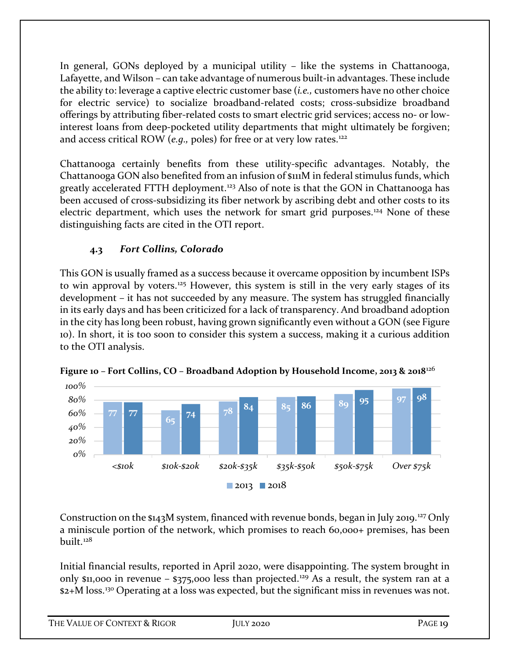In general, GONs deployed by a municipal utility – like the systems in Chattanooga, Lafayette, and Wilson – can take advantage of numerous built-in advantages. These include the ability to: leverage a captive electric customer base (*i.e.,* customers have no other choice for electric service) to socialize broadband-related costs; cross-subsidize broadband offerings by attributing fiber-related costs to smart electric grid services; access no- or lowinterest loans from deep-pocketed utility departments that might ultimately be forgiven; and access critical ROW (*e.g.*, poles) for free or at very low rates.<sup>[122](#page-36-0)</sup>

Chattanooga certainly benefits from these utility-specific advantages. Notably, the Chattanooga GON also benefited from an infusion of \$111M in federal stimulus funds, which greatly accelerated FTTH deployment. [123](#page-36-1) Also of note is that the GON in Chattanooga has been accused of cross-subsidizing its fiber network by ascribing debt and other costs to its electric department, which uses the network for smart grid purposes.[124](#page-36-2) None of these distinguishing facts are cited in the OTI report.

## **4.3** *Fort Collins, Colorado*

This GON is usually framed as a success because it overcame opposition by incumbent ISPs to win approval by voters.<sup>[125](#page-36-3)</sup> However, this system is still in the very early stages of its development – it has not succeeded by any measure. The system has struggled financially in its early days and has been criticized for a lack of transparency. And broadband adoption in the city has long been robust, having grown significantly even without a GON (see Figure 10). In short, it is too soon to consider this system a success, making it a curious addition to the OTI analysis.



**Figure 10 – Fort Collins, CO – Broadband Adoption by Household Income, 2013 & 2018**[126](#page-36-4)

Construction on the  $$143M$  system, financed with revenue bonds, began in July 2019.<sup>[127](#page-36-5)</sup> Only a miniscule portion of the network, which promises to reach 60,000+ premises, has been built.[128](#page-36-6)

Initial financial results, reported in April 2020, were disappointing. The system brought in only  $$11,000$  in revenue –  $$375,000$  less than projected.<sup>[129](#page-36-7)</sup> As a result, the system ran at a \$2+M loss.[130](#page-36-8) Operating at a loss was expected, but the significant miss in revenues was not.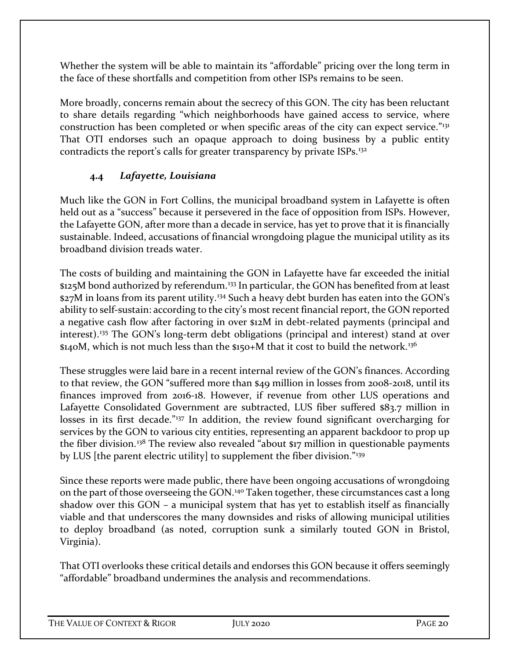Whether the system will be able to maintain its "affordable" pricing over the long term in the face of these shortfalls and competition from other ISPs remains to be seen.

More broadly, concerns remain about the secrecy of this GON. The city has been reluctant to share details regarding "which neighborhoods have gained access to service, where construction has been completed or when specific areas of the city can expect service."<sup>[131](#page-36-9)</sup> That OTI endorses such an opaque approach to doing business by a public entity contradicts the report's calls for greater transparency by private ISPs.[132](#page-36-10)

## **4.4** *Lafayette, Louisiana*

Much like the GON in Fort Collins, the municipal broadband system in Lafayette is often held out as a "success" because it persevered in the face of opposition from ISPs. However, the Lafayette GON, after more than a decade in service, has yet to prove that it is financially sustainable. Indeed, accusations of financial wrongdoing plague the municipal utility as its broadband division treads water.

The costs of building and maintaining the GON in Lafayette have far exceeded the initial \$125M bond authorized by referendum.<sup>[133](#page-36-11)</sup> In particular, the GON has benefited from at least \$27M in loans from its parent utility.<sup>[134](#page-36-12)</sup> Such a heavy debt burden has eaten into the GON's ability to self-sustain: according to the city's most recent financial report, the GON reported a negative cash flow after factoring in over \$12M in debt-related payments (principal and interest).[135](#page-36-13) The GON's long-term debt obligations (principal and interest) stand at over \$140M, which is not much less than the \$150+M that it cost to build the network.<sup>[136](#page-36-14)</sup>

These struggles were laid bare in a recent internal review of the GON's finances. According to that review, the GON "suffered more than \$49 million in losses from 2008-2018, until its finances improved from 2016-18. However, if revenue from other LUS operations and Lafayette Consolidated Government are subtracted, LUS fiber suffered \$83.7 million in losses in its first decade."<sup>[137](#page-36-15)</sup> In addition, the review found significant overcharging for services by the GON to various city entities, representing an apparent backdoor to prop up the fiber division.<sup>[138](#page-36-16)</sup> The review also revealed "about \$17 million in questionable payments by LUS [the parent electric utility] to supplement the fiber division."[139](#page-36-17)

Since these reports were made public, there have been ongoing accusations of wrongdoing on the part of those overseeing the GON.<sup>[140](#page-36-18)</sup> Taken together, these circumstances cast a long shadow over this GON – a municipal system that has yet to establish itself as financially viable and that underscores the many downsides and risks of allowing municipal utilities to deploy broadband (as noted, corruption sunk a similarly touted GON in Bristol, Virginia).

That OTI overlooks these critical details and endorses this GON because it offers seemingly "affordable" broadband undermines the analysis and recommendations.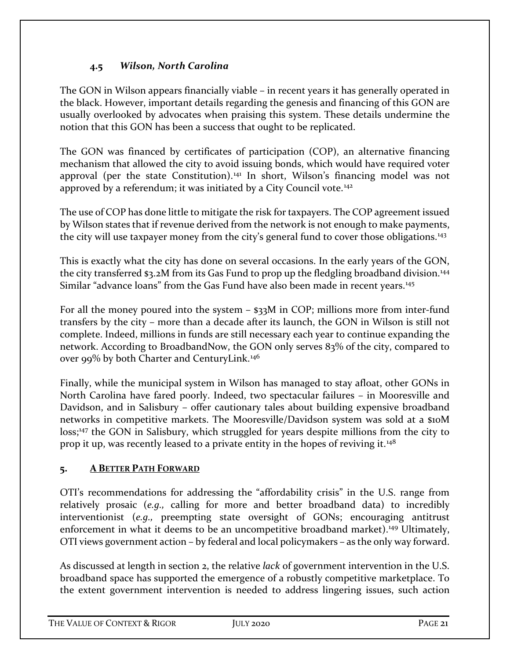## **4.5** *Wilson, North Carolina*

The GON in Wilson appears financially viable – in recent years it has generally operated in the black. However, important details regarding the genesis and financing of this GON are usually overlooked by advocates when praising this system. These details undermine the notion that this GON has been a success that ought to be replicated.

The GON was financed by certificates of participation (COP), an alternative financing mechanism that allowed the city to avoid issuing bonds, which would have required voter approval (per the state Constitution).<sup>[141](#page-36-19)</sup> In short, Wilson's financing model was not approved by a referendum; it was initiated by a City Council vote.<sup>[142](#page-36-20)</sup>

The use of COP has done little to mitigate the risk for taxpayers. The COP agreement issued by Wilson states that if revenue derived from the network is not enough to make payments, the city will use taxpayer money from the city's general fund to cover those obligations.<sup>[143](#page-36-21)</sup>

This is exactly what the city has done on several occasions. In the early years of the GON, the city transferred \$3.2M from its Gas Fund to prop up the fledgling broadband division.<sup>[144](#page-36-22)</sup> Similar "advance loans" from the Gas Fund have also been made in recent years.<sup>[145](#page-36-0)</sup>

For all the money poured into the system – \$33M in COP; millions more from inter-fund transfers by the city – more than a decade after its launch, the GON in Wilson is still not complete. Indeed, millions in funds are still necessary each year to continue expanding the network. According to BroadbandNow, the GON only serves 83% of the city, compared to over 99% by both Charter and CenturyLink.<sup>[146](#page-36-23)</sup>

Finally, while the municipal system in Wilson has managed to stay afloat, other GONs in North Carolina have fared poorly. Indeed, two spectacular failures – in Mooresville and Davidson, and in Salisbury – offer cautionary tales about building expensive broadband networks in competitive markets. The Mooresville/Davidson system was sold at a \$10M loss;<sup>[147](#page-36-24)</sup> the GON in Salisbury, which struggled for years despite millions from the city to prop it up, was recently leased to a private entity in the hopes of reviving it.<sup>[148](#page-36-2)</sup>

#### **5. A BETTER PATH FORWARD**

OTI's recommendations for addressing the "affordability crisis" in the U.S. range from relatively prosaic (*e.g.,* calling for more and better broadband data) to incredibly interventionist (*e.g.,* preempting state oversight of GONs; encouraging antitrust enforcement in what it deems to be an uncompetitive broadband market).<sup>[149](#page-36-25)</sup> Ultimately, OTI views government action – by federal and local policymakers – as the only way forward.

As discussed at length in section 2, the relative *lack* of government intervention in the U.S. broadband space has supported the emergence of a robustly competitive marketplace. To the extent government intervention is needed to address lingering issues, such action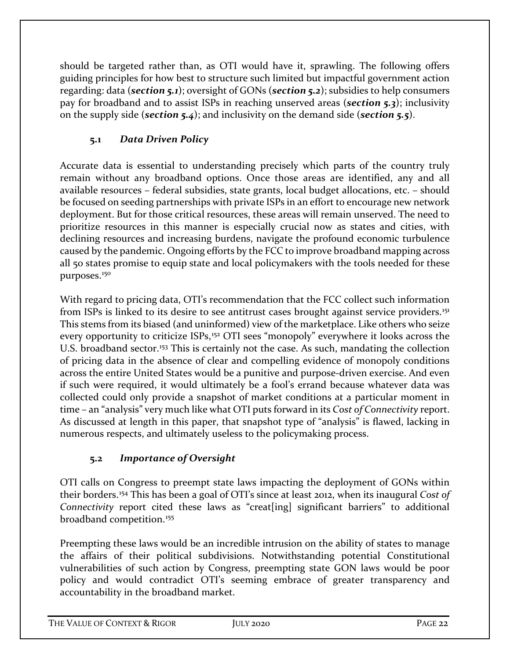should be targeted rather than, as OTI would have it, sprawling. The following offers guiding principles for how best to structure such limited but impactful government action regarding: data (*section 5.1*); oversight of GONs (*section 5.2*); subsidies to help consumers pay for broadband and to assist ISPs in reaching unserved areas (*section 5.3*); inclusivity on the supply side (*section 5.4*); and inclusivity on the demand side (*section 5.5*).

# **5.1** *Data Driven Policy*

Accurate data is essential to understanding precisely which parts of the country truly remain without any broadband options. Once those areas are identified, any and all available resources – federal subsidies, state grants, local budget allocations, etc. – should be focused on seeding partnerships with private ISPs in an effort to encourage new network deployment. But for those critical resources, these areas will remain unserved. The need to prioritize resources in this manner is especially crucial now as states and cities, with declining resources and increasing burdens, navigate the profound economic turbulence caused by the pandemic. Ongoing efforts by the FCC to improve broadband mapping across all 50 states promise to equip state and local policymakers with the tools needed for these purposes.[150](#page-36-26)

With regard to pricing data, OTI's recommendation that the FCC collect such information from ISPs is linked to its desire to see antitrust cases brought against service providers.[151](#page-36-4) This stems from its biased (and uninformed) view of the marketplace. Like others who seize every opportunity to criticize ISPs,<sup>[152](#page-36-27)</sup> OTI sees "monopoly" everywhere it looks across the U.S. broadband sector.<sup>[153](#page-36-28)</sup> This is certainly not the case. As such, mandating the collection of pricing data in the absence of clear and compelling evidence of monopoly conditions across the entire United States would be a punitive and purpose-driven exercise. And even if such were required, it would ultimately be a fool's errand because whatever data was collected could only provide a snapshot of market conditions at a particular moment in time – an "analysis" very much like what OTI puts forward in its *Cost of Connectivity* report. As discussed at length in this paper, that snapshot type of "analysis" is flawed, lacking in numerous respects, and ultimately useless to the policymaking process.

# **5.2** *Importance of Oversight*

OTI calls on Congress to preempt state laws impacting the deployment of GONs within their borders.[154](#page-36-6) This has been a goal of OTI's since at least 2012, when its inaugural *Cost of Connectivity* report cited these laws as "creat[ing] significant barriers" to additional broadband competition.[155](#page-36-29)

Preempting these laws would be an incredible intrusion on the ability of states to manage the affairs of their political subdivisions. Notwithstanding potential Constitutional vulnerabilities of such action by Congress, preempting state GON laws would be poor policy and would contradict OTI's seeming embrace of greater transparency and accountability in the broadband market.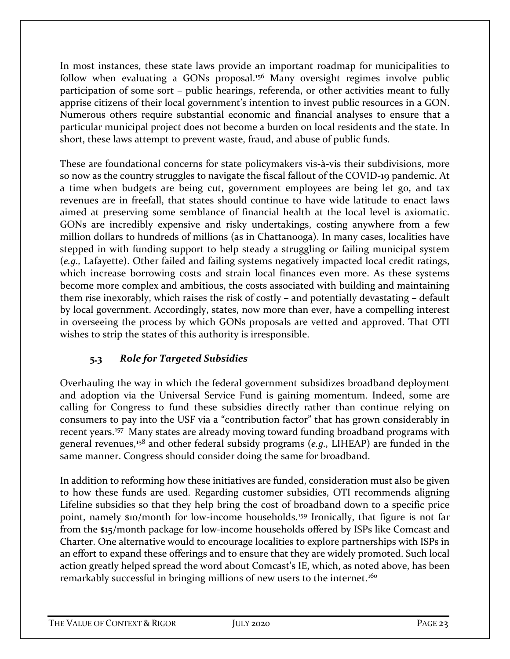In most instances, these state laws provide an important roadmap for municipalities to follow when evaluating a GONs proposal.<sup>[156](#page-36-30)</sup> Many oversight regimes involve public participation of some sort – public hearings, referenda, or other activities meant to fully apprise citizens of their local government's intention to invest public resources in a GON. Numerous others require substantial economic and financial analyses to ensure that a particular municipal project does not become a burden on local residents and the state. In short, these laws attempt to prevent waste, fraud, and abuse of public funds.

These are foundational concerns for state policymakers vis-à-vis their subdivisions, more so now as the country struggles to navigate the fiscal fallout of the COVID-19 pandemic. At a time when budgets are being cut, government employees are being let go, and tax revenues are in freefall, that states should continue to have wide latitude to enact laws aimed at preserving some semblance of financial health at the local level is axiomatic. GONs are incredibly expensive and risky undertakings, costing anywhere from a few million dollars to hundreds of millions (as in Chattanooga). In many cases, localities have stepped in with funding support to help steady a struggling or failing municipal system (*e.g.,* Lafayette). Other failed and failing systems negatively impacted local credit ratings, which increase borrowing costs and strain local finances even more. As these systems become more complex and ambitious, the costs associated with building and maintaining them rise inexorably, which raises the risk of costly – and potentially devastating – default by local government. Accordingly, states, now more than ever, have a compelling interest in overseeing the process by which GONs proposals are vetted and approved. That OTI wishes to strip the states of this authority is irresponsible.

## **5.3** *Role for Targeted Subsidies*

Overhauling the way in which the federal government subsidizes broadband deployment and adoption via the Universal Service Fund is gaining momentum. Indeed, some are calling for Congress to fund these subsidies directly rather than continue relying on consumers to pay into the USF via a "contribution factor" that has grown considerably in recent years.[157](#page-36-8) Many states are already moving toward funding broadband programs with general revenues, [158](#page-36-31) and other federal subsidy programs (*e.g.,* LIHEAP) are funded in the same manner. Congress should consider doing the same for broadband.

In addition to reforming how these initiatives are funded, consideration must also be given to how these funds are used. Regarding customer subsidies, OTI recommends aligning Lifeline subsidies so that they help bring the cost of broadband down to a specific price point, namely \$10/month for low-income households.<sup>[159](#page-36-32)</sup> Ironically, that figure is not far from the \$15/month package for low-income households offered by ISPs like Comcast and Charter. One alternative would to encourage localities to explore partnerships with ISPs in an effort to expand these offerings and to ensure that they are widely promoted. Such local action greatly helped spread the word about Comcast's IE, which, as noted above, has been remarkably successful in bringing millions of new users to the internet.<sup>[160](#page-36-12)</sup>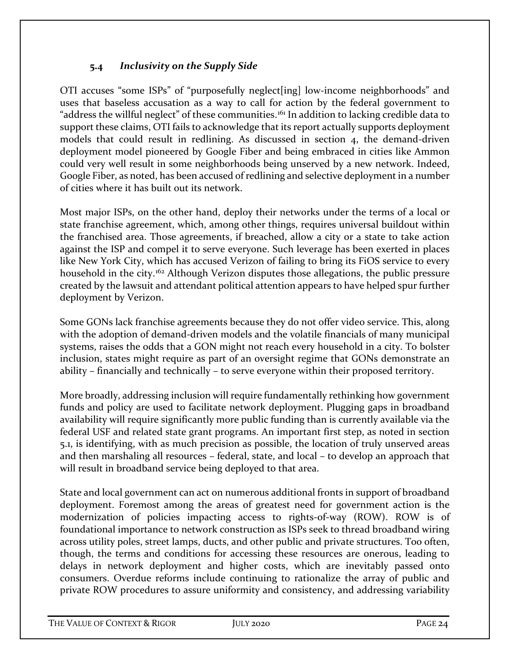### **5.4** *Inclusivity on the Supply Side*

OTI accuses "some ISPs" of "purposefully neglect[ing] low-income neighborhoods" and uses that baseless accusation as a way to call for action by the federal government to "address the willful neglect" of these communities.<sup>[161](#page-36-33)</sup> In addition to lacking credible data to support these claims, OTI fails to acknowledge that its report actually supports deployment models that could result in redlining. As discussed in section 4, the demand-driven deployment model pioneered by Google Fiber and being embraced in cities like Ammon could very well result in some neighborhoods being unserved by a new network. Indeed, Google Fiber, as noted, has been accused of redlining and selective deployment in a number of cities where it has built out its network.

Most major ISPs, on the other hand, deploy their networks under the terms of a local or state franchise agreement, which, among other things, requires universal buildout within the franchised area. Those agreements, if breached, allow a city or a state to take action against the ISP and compel it to serve everyone. Such leverage has been exerted in places like New York City, which has accused Verizon of failing to bring its FiOS service to every household in the city.<sup>[162](#page-36-34)</sup> Although Verizon disputes those allegations, the public pressure created by the lawsuit and attendant political attention appears to have helped spur further deployment by Verizon.

Some GONs lack franchise agreements because they do not offer video service. This, along with the adoption of demand-driven models and the volatile financials of many municipal systems, raises the odds that a GON might not reach every household in a city. To bolster inclusion, states might require as part of an oversight regime that GONs demonstrate an ability – financially and technically – to serve everyone within their proposed territory.

More broadly, addressing inclusion will require fundamentally rethinking how government funds and policy are used to facilitate network deployment. Plugging gaps in broadband availability will require significantly more public funding than is currently available via the federal USF and related state grant programs. An important first step, as noted in section 5.1, is identifying, with as much precision as possible, the location of truly unserved areas and then marshaling all resources – federal, state, and local – to develop an approach that will result in broadband service being deployed to that area.

State and local government can act on numerous additional fronts in support of broadband deployment. Foremost among the areas of greatest need for government action is the modernization of policies impacting access to rights-of-way (ROW). ROW is of foundational importance to network construction as ISPs seek to thread broadband wiring across utility poles, street lamps, ducts, and other public and private structures. Too often, though, the terms and conditions for accessing these resources are onerous, leading to delays in network deployment and higher costs, which are inevitably passed onto consumers. Overdue reforms include continuing to rationalize the array of public and private ROW procedures to assure uniformity and consistency, and addressing variability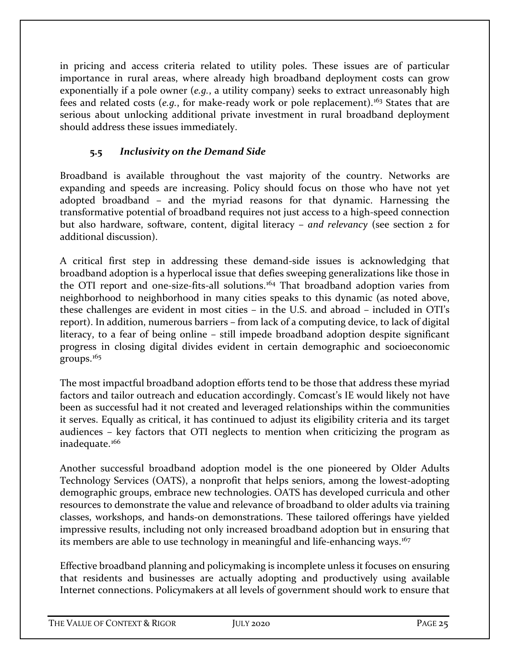in pricing and access criteria related to utility poles. These issues are of particular importance in rural areas, where already high broadband deployment costs can grow exponentially if a pole owner (*e.g.*, a utility company) seeks to extract unreasonably high fees and related costs (*e.g.*, for make-ready work or pole replacement).[163](#page-36-35) States that are serious about unlocking additional private investment in rural broadband deployment should address these issues immediately.

## **5.5** *Inclusivity on the Demand Side*

Broadband is available throughout the vast majority of the country. Networks are expanding and speeds are increasing. Policy should focus on those who have not yet adopted broadband – and the myriad reasons for that dynamic. Harnessing the transformative potential of broadband requires not just access to a high-speed connection but also hardware, software, content, digital literacy – *and relevancy* (see section 2 for additional discussion).

A critical first step in addressing these demand-side issues is acknowledging that broadband adoption is a hyperlocal issue that defies sweeping generalizations like those in the OTI report and one-size-fits-all solutions.<sup>[164](#page-36-36)</sup> That broadband adoption varies from neighborhood to neighborhood in many cities speaks to this dynamic (as noted above, these challenges are evident in most cities – in the U.S. and abroad – included in OTI's report). In addition, numerous barriers – from lack of a computing device, to lack of digital literacy, to a fear of being online – still impede broadband adoption despite significant progress in closing digital divides evident in certain demographic and socioeconomic groups.[165](#page-36-37)

The most impactful broadband adoption efforts tend to be those that address these myriad factors and tailor outreach and education accordingly. Comcast's IE would likely not have been as successful had it not created and leveraged relationships within the communities it serves. Equally as critical, it has continued to adjust its eligibility criteria and its target audiences – key factors that OTI neglects to mention when criticizing the program as inadequate.<sup>166</sup>

Another successful broadband adoption model is the one pioneered by Older Adults Technology Services (OATS), a nonprofit that helps seniors, among the lowest-adopting demographic groups, embrace new technologies. OATS has developed curricula and other resources to demonstrate the value and relevance of broadband to older adults via training classes, workshops, and hands-on demonstrations. These tailored offerings have yielded impressive results, including not only increased broadband adoption but in ensuring that its members are able to use technology in meaningful and life-enhancing ways.<sup>[167](#page-36-39)</sup>

Effective broadband planning and policymaking is incomplete unless it focuses on ensuring that residents and businesses are actually adopting and productively using available Internet connections. Policymakers at all levels of government should work to ensure that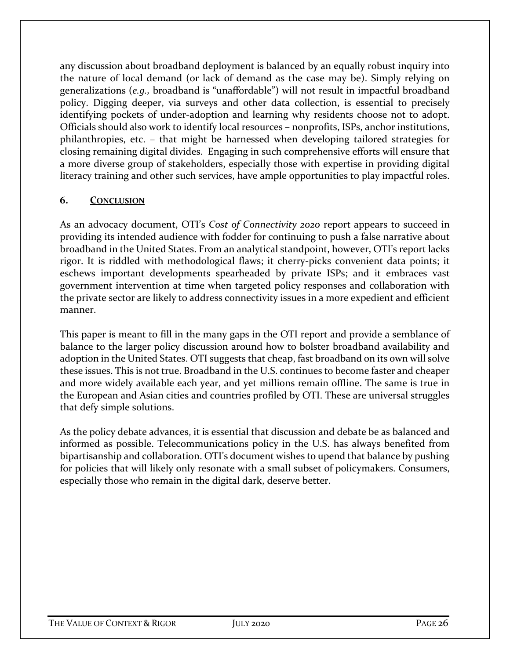any discussion about broadband deployment is balanced by an equally robust inquiry into the nature of local demand (or lack of demand as the case may be). Simply relying on generalizations (*e.g.,* broadband is "unaffordable") will not result in impactful broadband policy. Digging deeper, via surveys and other data collection, is essential to precisely identifying pockets of under-adoption and learning why residents choose not to adopt. Officials should also work to identify local resources – nonprofits, ISPs, anchor institutions, philanthropies, etc. – that might be harnessed when developing tailored strategies for closing remaining digital divides. Engaging in such comprehensive efforts will ensure that a more diverse group of stakeholders, especially those with expertise in providing digital literacy training and other such services, have ample opportunities to play impactful roles.

#### **6. CONCLUSION**

As an advocacy document, OTI's *Cost of Connectivity 2020* report appears to succeed in providing its intended audience with fodder for continuing to push a false narrative about broadband in the United States. From an analytical standpoint, however, OTI's report lacks rigor. It is riddled with methodological flaws; it cherry-picks convenient data points; it eschews important developments spearheaded by private ISPs; and it embraces vast government intervention at time when targeted policy responses and collaboration with the private sector are likely to address connectivity issues in a more expedient and efficient manner.

This paper is meant to fill in the many gaps in the OTI report and provide a semblance of balance to the larger policy discussion around how to bolster broadband availability and adoption in the United States. OTI suggests that cheap, fast broadband on its own will solve these issues. This is not true. Broadband in the U.S. continues to become faster and cheaper and more widely available each year, and yet millions remain offline. The same is true in the European and Asian cities and countries profiled by OTI. These are universal struggles that defy simple solutions.

As the policy debate advances, it is essential that discussion and debate be as balanced and informed as possible. Telecommunications policy in the U.S. has always benefited from bipartisanship and collaboration. OTI's document wishes to upend that balance by pushing for policies that will likely only resonate with a small subset of policymakers. Consumers, especially those who remain in the digital dark, deserve better.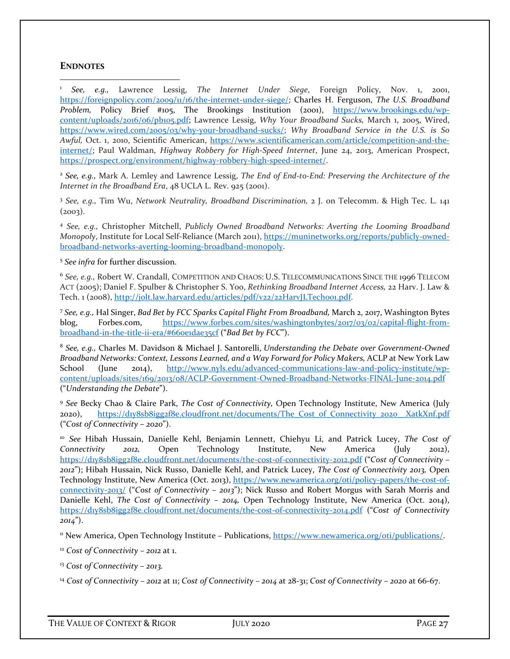#### **ENDNOTES**

<sup>1</sup> *See, e.g.,* Lawrence Lessig, *The Internet Under Siege*, Foreign Policy, Nov. 1, 2001, [https://foreignpolicy.com/2009/11/16/the-internet-under-siege/;](https://foreignpolicy.com/2009/11/16/the-internet-under-siege/) Charles H. Ferguson, *The U.S. Broadband*  Problem, Policy Brief #105, The Brookings Institution (2001), [https://www.brookings.edu/wp](https://www.brookings.edu/wp-content/uploads/2016/06/pb105.pdf)[content/uploads/2016/06/pb105.pdf;](https://www.brookings.edu/wp-content/uploads/2016/06/pb105.pdf) Lawrence Lessig, *Why Your Broadband Sucks,* March 1, 2005, Wired, [https://www.wired.com/2005/03/why-your-broadband-sucks/;](https://www.wired.com/2005/03/why-your-broadband-sucks/) *Why Broadband Service in the U.S. is So Awful,* Oct. 1, 2010, Scientific American, [https://www.scientificamerican.com/article/competition-and-the](https://www.scientificamerican.com/article/competition-and-the-internet/)[internet/;](https://www.scientificamerican.com/article/competition-and-the-internet/) Paul Waldman, *Highway Robbery for High-Speed Internet*, June 24, 2013, American Prospect, [https://prospect.org/environment/highway-robbery-high-speed-internet/.](https://prospect.org/environment/highway-robbery-high-speed-internet/) 

<sup>2</sup> *See, e.g.,* Mark A. Lemley and Lawrence Lessig, *The End of End-to-End: Preserving the Architecture of the Internet in the Broadband Era*, 48 UCLA L. Rev. 925 (2001).

<sup>3</sup> *See, e.g.,* Tim Wu, *Network Neutrality, Broadband Discrimination,* 2 J. on Telecomm. & High Tec. L. 141  $(2003)$ .

<sup>4</sup> *See, e.g.,* Christopher Mitchell, *Publicly Owned Broadband Networks: Averting the Looming Broadband Monopoly*, Institute for Local Self-Reliance (March 2011), [https://muninetworks.org/reports/publicly-owned](https://muninetworks.org/reports/publicly-owned-broadband-networks-averting-looming-broadband-monopoly)[broadband-networks-averting-looming-broadband-monopoly.](https://muninetworks.org/reports/publicly-owned-broadband-networks-averting-looming-broadband-monopoly)

<sup>5</sup> *See infra* for further discussion.

<sup>6</sup> *See, e.g.,* Robert W. Crandall, COMPETITION AND CHAOS: U.S. TELECOMMUNICATIONS SINCE THE 1996 TELECOM ACT (2005); Daniel F. Spulber & Christopher S. Yoo, *Rethinking Broadband Internet Access,* 22 Harv. J. Law & Tech. 1 (2008), http://jolt.law.harvard.edu/articles/pdf/v22/22HarvJLTechoo1.pdf.

<sup>7</sup> *See, e.g.,* Hal Singer, *Bad Bet by FCC Sparks Capital Flight From Broadband,* March 2, 2017, Washington Bytes blog, Forbes.com, [https://www.forbes.com/sites/washingtonbytes/2017/03/02/capital-flight-from](https://www.forbes.com/sites/washingtonbytes/2017/03/02/capital-flight-from-broadband-in-the-title-ii-era/#660e1dae35cf)[broadband-in-the-title-ii-era/#660e1dae35cf](https://www.forbes.com/sites/washingtonbytes/2017/03/02/capital-flight-from-broadband-in-the-title-ii-era/#660e1dae35cf) ("*Bad Bet by FCC*").

<sup>8</sup> *See, e.g.,* Charles M. Davidson & Michael J. Santorelli, *Understanding the Debate over Government-Owned Broadband Networks: Context, Lessons Learned, and a Way Forward for Policy Makers,* ACLP at New York Law School (June 2014), [http://www.nyls.edu/advanced-communications-law-and-policy-institute/wp](http://www.nyls.edu/advanced-communications-law-and-policy-institute/wp-content/uploads/sites/169/2013/08/ACLP-Government-Owned-Broadband-Networks-FINAL-June-2014.pdf)[content/uploads/sites/169/2013/08/ACLP-Government-Owned-Broadband-Networks-FINAL-June-2014.pdf](http://www.nyls.edu/advanced-communications-law-and-policy-institute/wp-content/uploads/sites/169/2013/08/ACLP-Government-Owned-Broadband-Networks-FINAL-June-2014.pdf) ("*Understanding the Debate*").

<sup>9</sup> *See* Becky Chao & Claire Park, *The Cost of Connectivity,* Open Technology Institute, New America (July 2020), https://div8sb8igg2f8e.cloudfront.net/documents/The Cost\_of\_Connectivity\_2020\_XatkXnf.pdf ("*Cost 0f Connectivity – 2020*").

<sup>10</sup> *See* Hibah Hussain, Danielle Kehl, Benjamin Lennett, Chiehyu Li, and Patrick Lucey, *The Cost of Connectivity 2012,* Open Technology Institute, New America (July 2012), <https://d1y8sb8igg2f8e.cloudfront.net/documents/the-cost-of-connectivity-2012.pdf> ("*Cost 0f Connectivity – 2012*"); Hibah Hussain, Nick Russo, Danielle Kehl, and Patrick Lucey, *The Cost of Connectivity 2013,* Open Technology Institute, New America (Oct. 2013), [https://www.newamerica.org/oti/policy-papers/the-cost-of](https://www.newamerica.org/oti/policy-papers/the-cost-of-connectivity-2013/)[connectivity-2013/](https://www.newamerica.org/oti/policy-papers/the-cost-of-connectivity-2013/) ("*Cost of Connectivity – 2013*"); Nick Russo and Robert Morgus with Sarah Morris and Danielle Kehl, *The Cost of Connectivity – 2014,* Open Technology Institute, New America (Oct. 2014), <https://d1y8sb8igg2f8e.cloudfront.net/documents/the-cost-of-connectivity-2014.pdf> ("*Cost of Connectivity 2014*").

<sup>11</sup> New America, Open Technology Institute – Publications, [https://www.newamerica.org/oti/publications/.](https://www.newamerica.org/oti/publications/)

<sup>12</sup> *Cost of Connectivity – 2012* at 1.

<sup>13</sup> *Cost of Connectivity – 2013.* 

<sup>14</sup> *Cost of Connectivity – 2012* at 11; *Cost of Connectivity – 2014* at 28-31; *Cost of Connectivity – 2020* at 66-67.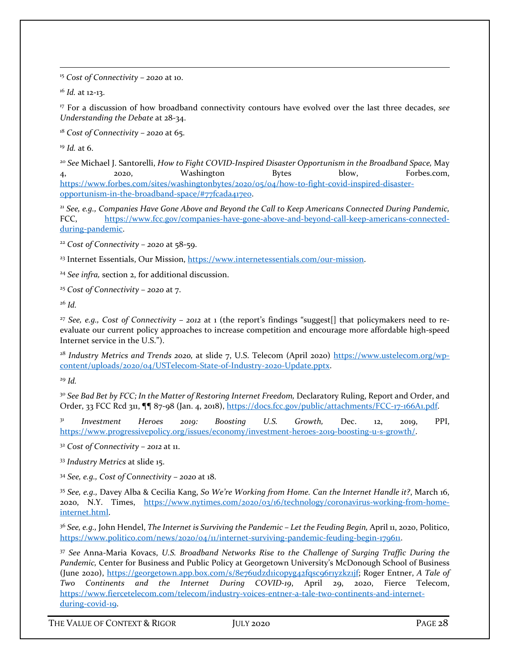<sup>15</sup> *Cost of Connectivity – 2020* at 10.

<span id="page-30-0"></span><sup>16</sup> *Id.* at 12-13.

<sup>17</sup> For a discussion of how broadband connectivity contours have evolved over the last three decades, *see Understanding the Debate* at 28-34.

<sup>18</sup> *Cost of Connectivity – 2020* at 65.

<sup>19</sup> *Id.* at 6.

<span id="page-30-1"></span><sup>20</sup> *See* Michael J. Santorelli, *How to Fight COVID-Inspired Disaster Opportunism in the Broadband Space,* May 4, 2020, Washington Bytes blow, Forbes.com, [https://www.forbes.com/sites/washingtonbytes/2020/05/04/how-to-fight-covid-inspired-disaster](https://www.forbes.com/sites/washingtonbytes/2020/05/04/how-to-fight-covid-inspired-disaster-opportunism-in-the-broadband-space/#77fcada417e0)[opportunism-in-the-broadband-space/#77fcada417e0.](https://www.forbes.com/sites/washingtonbytes/2020/05/04/how-to-fight-covid-inspired-disaster-opportunism-in-the-broadband-space/#77fcada417e0)

<span id="page-30-3"></span><span id="page-30-2"></span><sup>21</sup> *See, e.g., Companies Have Gone Above and Beyond the Call to Keep Americans Connected During Pandemic,*  FCC, [https://www.fcc.gov/companies-have-gone-above-and-beyond-call-keep-americans-connected](https://www.fcc.gov/companies-have-gone-above-and-beyond-call-keep-americans-connected-during-pandemic)[during-pandemic.](https://www.fcc.gov/companies-have-gone-above-and-beyond-call-keep-americans-connected-during-pandemic) 

<sup>22</sup> *Cost of Connectivity – 2020* at 58-59.

<span id="page-30-4"></span><sup>23</sup> Internet Essentials, Our Mission, [https://www.internetessentials.com/our-mission.](https://www.internetessentials.com/our-mission)

<span id="page-30-5"></span><sup>24</sup> *See infra,* section 2, for additional discussion.

<sup>25</sup> *Cost of Connectivity – 2020* at 7.

<span id="page-30-6"></span><sup>26</sup> *Id.* 

<sup>27</sup> *See, e.g., Cost of Connectivity – 2012* at 1 (the report's findings "suggest[] that policymakers need to reevaluate our current policy approaches to increase competition and encourage more affordable high-speed Internet service in the U.S.").

<span id="page-30-7"></span><sup>28</sup> *Industry Metrics and Trends 2020,* at slide 7, U.S. Telecom (April 2020) [https://www.ustelecom.org/wp](https://www.ustelecom.org/wp-content/uploads/2020/04/USTelecom-State-of-Industry-2020-Update.pptx)[content/uploads/2020/04/USTelecom-State-of-Industry-2020-Update.pptx.](https://www.ustelecom.org/wp-content/uploads/2020/04/USTelecom-State-of-Industry-2020-Update.pptx)

<sup>29</sup> *Id.*

<span id="page-30-8"></span><sup>30</sup> See Bad Bet by FCC; In the Matter of Restoring Internet Freedom, Declaratory Ruling, Report and Order, and Order, 33 FCC Rcd 311, ¶¶ 87-98 (Jan. 4, 2018), [https://docs.fcc.gov/public/attachments/FCC-17-166A1.pdf.](https://docs.fcc.gov/public/attachments/FCC-17-166A1.pdf) 

<sup>31</sup> *Investment Heroes 2019: Boosting U.S. Growth,* Dec. 12, 2019, PPI, [https://www.progressivepolicy.org/issues/economy/investment-heroes-2019-boosting-u-s-growth/.](https://www.progressivepolicy.org/issues/economy/investment-heroes-2019-boosting-u-s-growth/)

<span id="page-30-9"></span><sup>32</sup> *Cost of Connectivity – 2012* at 11.

<sup>33</sup> *Industry Metrics* at slide 15.

<sup>34</sup> *See, e.g., Cost of Connectivity – 2020* at 18.

<sup>35</sup> *See, e.g.,* Davey Alba & Cecilia Kang, *So We're Working from Home. Can the Internet Handle it?*, March 16, 2020, N.Y. Times, [https://www.nytimes.com/2020/03/16/technology/coronavirus-working-from-home](https://www.nytimes.com/2020/03/16/technology/coronavirus-working-from-home-internet.html)[internet.html.](https://www.nytimes.com/2020/03/16/technology/coronavirus-working-from-home-internet.html) 

<span id="page-30-10"></span><sup>36</sup> *See, e.g.,* John Hendel, *The Internet is Surviving the Pandemic – Let the Feuding Begin,* April 11, 2020, Politico, [https://www.politico.com/news/2020/04/11/internet-surviving-pandemic-feuding-begin-179611.](https://www.politico.com/news/2020/04/11/internet-surviving-pandemic-feuding-begin-179611)

<span id="page-30-12"></span><span id="page-30-11"></span><sup>37</sup> *See* Anna-Maria Kovacs, *U.S. Broadband Networks Rise to the Challenge of Surging Traffic During the Pandemic,* Center for Business and Public Policy at Georgetown University's McDonough School of Business (June 2020), [https://georgetown.app.box.com/s/8e76udzd1ic0pyg42fqsc96r1yzkz1jf;](https://georgetown.app.box.com/s/8e76udzd1ic0pyg42fqsc96r1yzkz1jf) Roger Entner, *A Tale of Two Continents and the Internet During COVID-19*, April 29, 2020, Fierce Telecom, [https://www.fiercetelecom.com/telecom/industry-voices-entner-a-tale-two-continents-and-internet](https://www.fiercetelecom.com/telecom/industry-voices-entner-a-tale-two-continents-and-internet-during-covid-19)[during-covid-19.](https://www.fiercetelecom.com/telecom/industry-voices-entner-a-tale-two-continents-and-internet-during-covid-19)

<span id="page-30-13"></span>THE VALUE OF CONTEXT & RIGOR JULY 2020 JULY 2020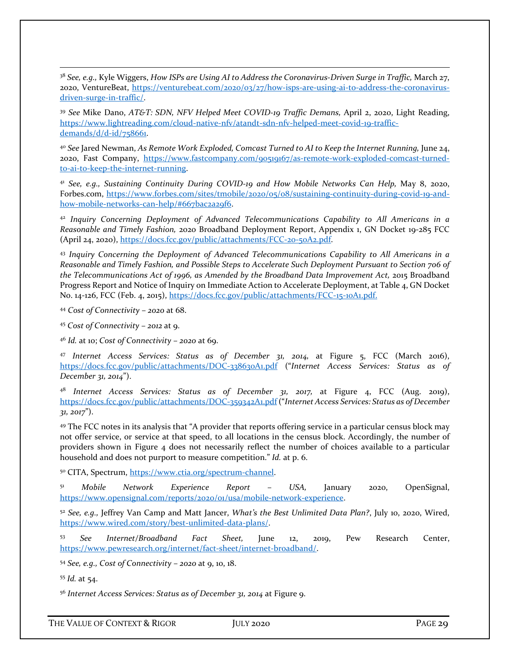<span id="page-31-1"></span><span id="page-31-0"></span><sup>38</sup> *See, e.g.,* Kyle Wiggers, *How ISPs are Using AI to Address the Coronavirus-Driven Surge in Traffic,* March 27, 2020, VentureBeat, [https://venturebeat.com/2020/03/27/how-isps-are-using-ai-to-address-the-coronavirus](https://venturebeat.com/2020/03/27/how-isps-are-using-ai-to-address-the-coronavirus-driven-surge-in-traffic/)[driven-surge-in-traffic/.](https://venturebeat.com/2020/03/27/how-isps-are-using-ai-to-address-the-coronavirus-driven-surge-in-traffic/) 

<span id="page-31-2"></span><sup>39</sup> *See* Mike Dano, *AT&T: SDN, NFV Helped Meet COVID-19 Traffic Demans,* April 2, 2020, Light Reading, [https://www.lightreading.com/cloud-native-nfv/atandt-sdn-nfv-helped-meet-covid-19-traffic](https://www.lightreading.com/cloud-native-nfv/atandt-sdn-nfv-helped-meet-covid-19-traffic-demands/d/d-id/758661)[demands/d/d-id/758661.](https://www.lightreading.com/cloud-native-nfv/atandt-sdn-nfv-helped-meet-covid-19-traffic-demands/d/d-id/758661)

<span id="page-31-5"></span><span id="page-31-4"></span><span id="page-31-3"></span><sup>40</sup> *See* Jared Newman, *As Remote Work Exploded, Comcast Turned to AI to Keep the Internet Running,* June 24, 2020, Fast Company, [https://www.fastcompany.com/90519167/as-remote-work-exploded-comcast-turned](https://www.fastcompany.com/90519167/as-remote-work-exploded-comcast-turned-to-ai-to-keep-the-internet-running)[to-ai-to-keep-the-internet-running.](https://www.fastcompany.com/90519167/as-remote-work-exploded-comcast-turned-to-ai-to-keep-the-internet-running) 

<sup>41</sup> *See, e.g., Sustaining Continuity During COVID-19 and How Mobile Networks Can Help,* May 8, 2020, Forbes.com, [https://www.forbes.com/sites/tmobile/2020/05/08/sustaining-continuity-during-covid-19-and](https://www.forbes.com/sites/tmobile/2020/05/08/sustaining-continuity-during-covid-19-and-how-mobile-networks-can-help/#667bac2a29f6)[how-mobile-networks-can-help/#667bac2a29f6.](https://www.forbes.com/sites/tmobile/2020/05/08/sustaining-continuity-during-covid-19-and-how-mobile-networks-can-help/#667bac2a29f6)

<span id="page-31-6"></span><sup>42</sup> *Inquiry Concerning Deployment of Advanced Telecommunications Capability to All Americans in a Reasonable and Timely Fashion,* 2020 Broadband Deployment Report, Appendix 1, GN Docket 19-285 FCC (April 24, 2020), [https://docs.fcc.gov/public/attachments/FCC-20-50A2.pdf.](https://docs.fcc.gov/public/attachments/FCC-20-50A2.pdf) 

<span id="page-31-9"></span><span id="page-31-8"></span><span id="page-31-7"></span><sup>43</sup> *Inquiry Concerning the Deployment of Advanced Telecommunications Capability to All Americans in a Reasonable and Timely Fashion, and Possible Steps to Accelerate Such Deployment Pursuant to Section 706 of*  the Telecommunications Act of 1996, as Amended by the Broadband Data Improvement Act, 2015 Broadband Progress Report and Notice of Inquiry on Immediate Action to Accelerate Deployment, at Table 4, GN Docket No. 14-126, FCC (Feb. 4, 2015), [https://docs.fcc.gov/public/attachments/FCC-15-10A1.pdf.](https://docs.fcc.gov/public/attachments/FCC-15-10A1.pdf)

<span id="page-31-11"></span><span id="page-31-10"></span><sup>44</sup> *Cost of Connectivity – 2020* at 68.

<span id="page-31-12"></span><sup>45</sup> *Cost of Connectivity – 2012* at 9.

<sup>46</sup> *Id.* at 10; *Cost of Connectivity – 2020* at 69.

<span id="page-31-13"></span><sup>47</sup> *Internet Access Services: Status as of December 31, 2014,* at Figure 5, FCC (March 2016), <https://docs.fcc.gov/public/attachments/DOC-338630A1.pdf> ("*Internet Access Services: Status as of December 31, 2014*").

<span id="page-31-15"></span><span id="page-31-14"></span><sup>48</sup> Internet Access Services: Status as of December 31, 2017, at Figure 4, FCC (Aug. 2019), <https://docs.fcc.gov/public/attachments/DOC-359342A1.pdf> ("*Internet Access Services: Status as of December 31, 2017*").

<span id="page-31-17"></span><span id="page-31-16"></span><sup>49</sup> The FCC notes in its analysis that "A provider that reports offering service in a particular census block may not offer service, or service at that speed, to all locations in the census block. Accordingly, the number of providers shown in Figure 4 does not necessarily reflect the number of choices available to a particular household and does not purport to measure competition." *Id.* at p. 6.

<span id="page-31-19"></span><span id="page-31-18"></span><sup>50</sup> CITA, Spectrum, [https://www.ctia.org/spectrum-channel.](https://www.ctia.org/spectrum-channel)

<span id="page-31-20"></span><sup>51</sup> *Mobile Network Experience Report – USA,* January 2020, OpenSignal, [https://www.opensignal.com/reports/2020/01/usa/mobile-network-experience.](https://www.opensignal.com/reports/2020/01/usa/mobile-network-experience)

<sup>52</sup> *See, e.g.,* Jeffrey Van Camp and Matt Jancer, *What's the Best Unlimited Data Plan?*, July 10, 2020, Wired, [https://www.wired.com/story/best-unlimited-data-plans/.](https://www.wired.com/story/best-unlimited-data-plans/) 

<span id="page-31-21"></span><sup>53</sup> *See Internet/Broadband Fact Sheet,* June 12, 2019, Pew Research Center, [https://www.pewresearch.org/internet/fact-sheet/internet-broadband/.](https://www.pewresearch.org/internet/fact-sheet/internet-broadband/)

<span id="page-31-22"></span><sup>54</sup> *See, e.g., Cost of Connectivity – 2020* at 9, 10, 18.

<sup>55</sup> *Id.* at 54.

<sup>56</sup> *Internet Access Services: Status as of December 31, 2014* at Figure 9.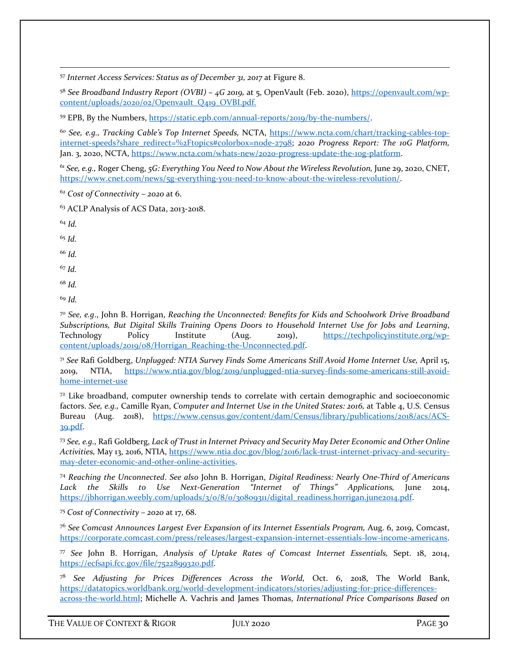<span id="page-32-0"></span><sup>57</sup> *Internet Access Services: Status as of December 31, 2017* at Figure 8.

<sup>58</sup> *See Broadband Industry Report (OVBI) – 4G 2019,* at 5, OpenVault (Feb. 2020), [https://openvault.com/wp](https://openvault.com/wp-content/uploads/2020/02/Openvault_Q419_OVBI.pdf)[content/uploads/2020/02/Openvault\\_Q419\\_OVBI.pdf.](https://openvault.com/wp-content/uploads/2020/02/Openvault_Q419_OVBI.pdf)

<span id="page-32-1"></span><sup>59</sup> EPB, By the Numbers, [https://static.epb.com/annual-reports/2019/by-the-numbers/.](https://static.epb.com/annual-reports/2019/by-the-numbers/)

<span id="page-32-2"></span><sup>60</sup> *See, e.g., Tracking Cable's Top Internet Speeds,* NCTA, [https://www.ncta.com/chart/tracking-cables-top](https://www.ncta.com/chart/tracking-cables-top-internet-speeds?share_redirect=%2Ftopics#colorbox=node-2798)[internet-speeds?share\\_redirect=%2Ftopics#colorbox=node-2798;](https://www.ncta.com/chart/tracking-cables-top-internet-speeds?share_redirect=%2Ftopics#colorbox=node-2798) **2020 Progress Report: The 10G Platform,** Jan. 3, 2020, NCTA, [https://www.ncta.com/whats-new/2020-progress-update-the-10g-platform.](https://www.ncta.com/whats-new/2020-progress-update-the-10g-platform)

<sup>61</sup> See, e.g., Roger Cheng, *5G: Everything You Need to Now About the Wireless Revolution*, June 29, 2020, CNET, [https://www.cnet.com/news/5g-everything-you-need-to-know-about-the-wireless-revolution/.](https://www.cnet.com/news/5g-everything-you-need-to-know-about-the-wireless-revolution/) 

<span id="page-32-3"></span><sup>62</sup> *Cost of Connectivity – 2020* at 6.

<sup>63</sup> ACLP Analysis of ACS Data, 2013-2018.

<span id="page-32-4"></span><sup>64</sup> *Id.*

<sup>65</sup> *Id.*

<span id="page-32-5"></span><sup>66</sup> *Id.* 

<sup>67</sup> *Id.* 

<sup>68</sup> *Id.* 

<sup>69</sup> *Id.* 

<span id="page-32-7"></span><span id="page-32-6"></span><sup>70</sup> *See, e.g*., John B. Horrigan, *Reaching the Unconnected: Benefits for Kids and Schoolwork Drive Broadband Subscriptions, But Digital Skills Training Opens Doors to Household Internet Use for Jobs and Learning*, Technology Policy Institute (Aug. 2019), [https://techpolicyinstitute.org/wp](https://techpolicyinstitute.org/wp-content/uploads/2019/08/Horrigan_Reaching-the-Unconnected.pdf)[content/uploads/2019/08/Horrigan\\_Reaching-the-Unconnected.pdf.](https://techpolicyinstitute.org/wp-content/uploads/2019/08/Horrigan_Reaching-the-Unconnected.pdf) 

<span id="page-32-9"></span><span id="page-32-8"></span><sup>71</sup> *See* Rafi Goldberg, *Unplugged: NTIA Survey Finds Some Americans Still Avoid Home Internet Use,* April 15, 2019, NTIA, [https://www.ntia.gov/blog/2019/unplugged-ntia-survey-finds-some-americans-still-avoid](https://www.ntia.gov/blog/2019/unplugged-ntia-survey-finds-some-americans-still-avoid-home-internet-use)[home-internet-use](https://www.ntia.gov/blog/2019/unplugged-ntia-survey-finds-some-americans-still-avoid-home-internet-use) 

<span id="page-32-10"></span> $72$  Like broadband, computer ownership tends to correlate with certain demographic and socioeconomic factors. *See, e.g., Camille Ryan, Computer and Internet Use in the United States: 2016, at Table 4, U.S. Census* Bureau (Aug. 2018), [https://www.census.gov/content/dam/Census/library/publications/2018/acs/ACS-](https://www.census.gov/content/dam/Census/library/publications/2018/acs/ACS-39.pdf)[39.pdf.](https://www.census.gov/content/dam/Census/library/publications/2018/acs/ACS-39.pdf)

<span id="page-32-11"></span><sup>73</sup> *See, e.g.,* Rafi Goldberg, *Lack of Trust in Internet Privacy and Security May Deter Economic and Other Online Activities,* May 13, 2016, NTIA, [https://www.ntia.doc.gov/blog/2016/lack-trust-internet-privacy-and-security](https://www.ntia.doc.gov/blog/2016/lack-trust-internet-privacy-and-security-may-deter-economic-and-other-online-activities)[may-deter-economic-and-other-online-activities.](https://www.ntia.doc.gov/blog/2016/lack-trust-internet-privacy-and-security-may-deter-economic-and-other-online-activities) 

<span id="page-32-13"></span><span id="page-32-12"></span><sup>74</sup> *Reaching the Unconnected*. *See also* John B. Horrigan, *Digital Readiness: Nearly One-Third of Americans*  Lack the Skills to Use Next-Generation "Internet of Things" Applications, June 2014, [https://jbhorrigan.weebly.com/uploads/3/0/8/0/30809311/digital\\_readiness.horrigan.june2014.pdf.](https://jbhorrigan.weebly.com/uploads/3/0/8/0/30809311/digital_readiness.horrigan.june2014.pdf)

<span id="page-32-14"></span><sup>75</sup> *Cost of Connectivity – 2020* at 17, 68.

<span id="page-32-15"></span><sup>76</sup> *See Comcast Announces Largest Ever Expansion of its Internet Essentials Program,* Aug. 6, 2019, Comcast, [https://corporate.comcast.com/press/releases/largest-expansion-internet-essentials-low-income-americans.](https://corporate.comcast.com/press/releases/largest-expansion-internet-essentials-low-income-americans) 

<span id="page-32-16"></span><sup>77</sup> *See* John B. Horrigan, *Analysis of Uptake Rates of Comcast Internet Essentials,* Sept. 18, 2014, [https://ecfsapi.fcc.gov/file/7522899320.pdf.](https://ecfsapi.fcc.gov/file/7522899320.pdf) 

<span id="page-32-17"></span><sup>78</sup> *See Adjusting for Prices Differences Across the World,* Oct. 6, 2018, The World Bank, [https://datatopics.worldbank.org/world-development-indicators/stories/adjusting-for-price-differences](https://datatopics.worldbank.org/world-development-indicators/stories/adjusting-for-price-differences-across-the-world.html)[across-the-world.html;](https://datatopics.worldbank.org/world-development-indicators/stories/adjusting-for-price-differences-across-the-world.html) Michelle A. Vachris and James Thomas, *International Price Comparisons Based on* 

<span id="page-32-18"></span>THE VALUE OF CONTEXT & RIGOR JULY 2020 **PAGE 30**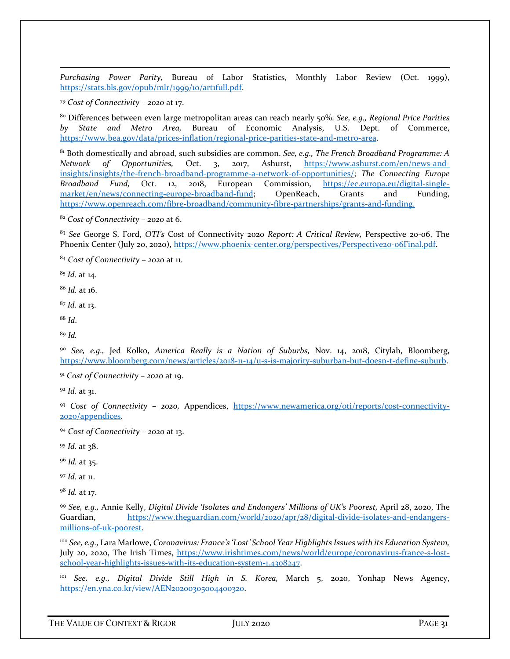<span id="page-33-0"></span>*Purchasing Power Parity,* Bureau of Labor Statistics, Monthly Labor Review (Oct. 1999), [https://stats.bls.gov/opub/mlr/1999/10/art1full.pdf.](https://stats.bls.gov/opub/mlr/1999/10/art1full.pdf) 

<span id="page-33-1"></span><sup>79</sup> *Cost of Connectivity – 2020* at 17.

<span id="page-33-3"></span><span id="page-33-2"></span><sup>80</sup> Differences between even large metropolitan areas can reach nearly 50%. *See, e.g., Regional Price Parities by State and Metro Area,* Bureau of Economic Analysis, U.S. Dept. of Commerce, [https://www.bea.gov/data/prices-inflation/regional-price-parities-state-and-metro-area.](https://www.bea.gov/data/prices-inflation/regional-price-parities-state-and-metro-area)

<span id="page-33-4"></span><sup>81</sup> Both domestically and abroad, such subsidies are common. *See, e.g., The French Broadband Programme: A Network of Opportunities,* Oct. 3, 2017, Ashurst, [https://www.ashurst.com/en/news-and](https://www.ashurst.com/en/news-and-insights/insights/the-french-broadband-programme-a-network-of-opportunities/)[insights/insights/the-french-broadband-programme-a-network-of-opportunities/;](https://www.ashurst.com/en/news-and-insights/insights/the-french-broadband-programme-a-network-of-opportunities/) *The Connecting Europe Broadband Fund,* Oct. 12, 2018, European Commission, [https://ec.europa.eu/digital-single](https://ec.europa.eu/digital-single-market/en/news/connecting-europe-broadband-fund)[market/en/news/connecting-europe-broadband-fund;](https://ec.europa.eu/digital-single-market/en/news/connecting-europe-broadband-fund) OpenReach, Grants and Funding, [https://www.openreach.com/fibre-broadband/community-fibre-partnerships/grants-and-funding.](https://www.openreach.com/fibre-broadband/community-fibre-partnerships/grants-and-funding)

<span id="page-33-7"></span><span id="page-33-6"></span><span id="page-33-5"></span><sup>82</sup> *Cost of Connectivity – 2020* at 6.

<span id="page-33-8"></span><sup>83</sup> *See* George S. Ford, *OTI's* Cost of Connectivity 2020 *Report: A Critical Review,* Perspective 20-06, The Phoenix Center (July 20, 2020)[, https://www.phoenix-center.org/perspectives/Perspective20-06Final.pdf.](https://www.phoenix-center.org/perspectives/Perspective20-06Final.pdf)

<span id="page-33-9"></span><sup>84</sup> *Cost of Connectivity – 2020* at 11.

<span id="page-33-10"></span><sup>85</sup> *Id.* at 14.

<span id="page-33-11"></span><sup>86</sup> *Id.* at 16.

<span id="page-33-13"></span><span id="page-33-12"></span><sup>87</sup> *Id.* at 13.

<sup>88</sup> *Id*.

<sup>89</sup> *Id.* 

<span id="page-33-14"></span><sup>90</sup> *See, e.g.,* Jed Kolko, *America Really is a Nation of Suburbs,* Nov. 14, 2018, Citylab, Bloomberg, [https://www.bloomberg.com/news/articles/2018-11-14/u-s-is-majority-suburban-but-doesn-t-define-suburb.](https://www.bloomberg.com/news/articles/2018-11-14/u-s-is-majority-suburban-but-doesn-t-define-suburb)

<sup>91</sup> *Cost of Connectivity – 2020* at 19.

<span id="page-33-15"></span><sup>92</sup> *Id.* at 31.

<sup>93</sup> *Cost of Connectivity – 2020,* Appendices, [https://www.newamerica.org/oti/reports/cost-connectivity-](https://www.newamerica.org/oti/reports/cost-connectivity-2020/appendices)[2020/appendices.](https://www.newamerica.org/oti/reports/cost-connectivity-2020/appendices)

<sup>94</sup> *Cost of Connectivity – 2020* at 13.

<span id="page-33-16"></span><sup>95</sup> *Id.* at 38.

<sup>96</sup> *Id.* at 35.

<span id="page-33-17"></span><sup>97</sup> *Id.* at 11.

<sup>98</sup> *Id.* at 17.

<span id="page-33-18"></span><sup>99</sup> *See, e.g.,* Annie Kelly, *Digital Divide 'Isolates and Endangers' Millions of UK's Poorest,* April 28, 2020, The Guardian, [https://www.theguardian.com/world/2020/apr/28/digital-divide-isolates-and-endangers](https://www.theguardian.com/world/2020/apr/28/digital-divide-isolates-and-endangers-millions-of-uk-poorest)[millions-of-uk-poorest.](https://www.theguardian.com/world/2020/apr/28/digital-divide-isolates-and-endangers-millions-of-uk-poorest)

<span id="page-33-20"></span><span id="page-33-19"></span><sup>100</sup> *See, e.g.,* Lara Marlowe, *Coronavirus: France's 'Lost' School Year Highlights Issues with its Education System,*  July 20, 2020, The Irish Times, [https://www.irishtimes.com/news/world/europe/coronavirus-france-s-lost](https://www.irishtimes.com/news/world/europe/coronavirus-france-s-lost-school-year-highlights-issues-with-its-education-system-1.4308247)[school-year-highlights-issues-with-its-education-system-1.4308247.](https://www.irishtimes.com/news/world/europe/coronavirus-france-s-lost-school-year-highlights-issues-with-its-education-system-1.4308247) 

<span id="page-33-21"></span><sup>101</sup> *See, e.g., Digital Divide Still High in S. Korea,* March 5, 2020, Yonhap News Agency, [https://en.yna.co.kr/view/AEN20200305004400320.](https://en.yna.co.kr/view/AEN20200305004400320)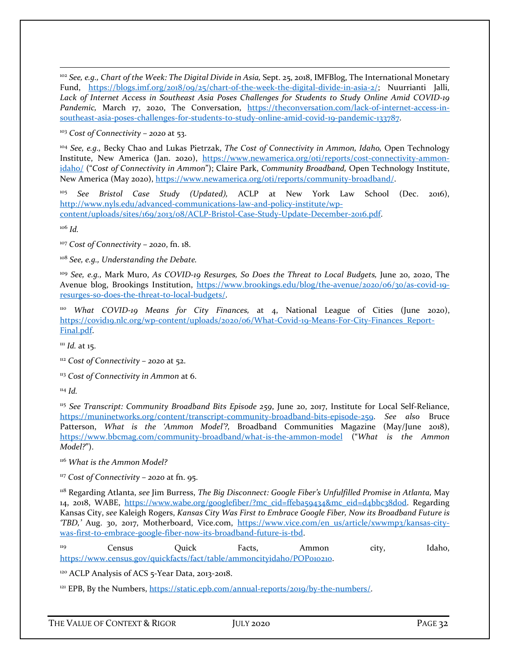<span id="page-34-0"></span><sup>102</sup> *See, e.g., Chart of the Week: The Digital Divide in Asia, Sept. 25, 2018, IMFBlog, The International Monetary* Fund, [https://blogs.imf.org/2018/09/25/chart-of-the-week-the-digital-divide-in-asia-2/;](https://blogs.imf.org/2018/09/25/chart-of-the-week-the-digital-divide-in-asia-2/) Nuurrianti Jalli, *Lack of Internet Access in Southeast Asia Poses Challenges for Students to Study Online Amid COVID-19 Pandemic,* March 17, 2020, The Conversation, [https://theconversation.com/lack-of-internet-access-in](https://theconversation.com/lack-of-internet-access-in-southeast-asia-poses-challenges-for-students-to-study-online-amid-covid-19-pandemic-133787)[southeast-asia-poses-challenges-for-students-to-study-online-amid-covid-19-pandemic-133787.](https://theconversation.com/lack-of-internet-access-in-southeast-asia-poses-challenges-for-students-to-study-online-amid-covid-19-pandemic-133787)

<span id="page-34-1"></span><sup>103</sup> *Cost of Connectivity – 2020* at 53.

<span id="page-34-2"></span><sup>104</sup> *See, e.g.,* Becky Chao and Lukas Pietrzak, *The Cost of Connectivity in Ammon, Idaho,* Open Technology Institute, New America (Jan. 2020), [https://www.newamerica.org/oti/reports/cost-connectivity-ammon](https://www.newamerica.org/oti/reports/cost-connectivity-ammon-idaho/)[idaho/](https://www.newamerica.org/oti/reports/cost-connectivity-ammon-idaho/) ("*Cost of Connectivity in Ammon*"); Claire Park, *Community Broadband,* Open Technology Institute, New America (May 2020), [https://www.newamerica.org/oti/reports/community-broadband/.](https://www.newamerica.org/oti/reports/community-broadband/) 

<sup>105</sup> *See Bristol Case Study (Updated),* ACLP at New York Law School (Dec. 2016), [http://www.nyls.edu/advanced-communications-law-and-policy-institute/wp](http://www.nyls.edu/advanced-communications-law-and-policy-institute/wp-content/uploads/sites/169/2013/08/ACLP-Bristol-Case-Study-Update-December-2016.pdf)[content/uploads/sites/169/2013/08/ACLP-Bristol-Case-Study-Update-December-2016.pdf.](http://www.nyls.edu/advanced-communications-law-and-policy-institute/wp-content/uploads/sites/169/2013/08/ACLP-Bristol-Case-Study-Update-December-2016.pdf) 

<span id="page-34-4"></span><span id="page-34-3"></span><sup>106</sup> *Id.* 

<sup>107</sup> *Cost of Connectivity – 2020*, fn. 18.

<span id="page-34-5"></span><sup>108</sup> *See, e.g., Understanding the Debate.* 

<span id="page-34-7"></span><span id="page-34-6"></span><sup>109</sup> See, e.g., Mark Muro, As COVID-19 Resurges, So Does the Threat to Local Budgets, June 20, 2020, The Avenue blog, Brookings Institution, [https://www.brookings.edu/blog/the-avenue/2020/06/30/as-covid-19](https://www.brookings.edu/blog/the-avenue/2020/06/30/as-covid-19-resurges-so-does-the-threat-to-local-budgets/) [resurges-so-does-the-threat-to-local-budgets/.](https://www.brookings.edu/blog/the-avenue/2020/06/30/as-covid-19-resurges-so-does-the-threat-to-local-budgets/)

<span id="page-34-9"></span><span id="page-34-8"></span><sup>110</sup> *What COVID-19 Means for City Finances,* at 4, National League of Cities (June 2020), [https://covid19.nlc.org/wp-content/uploads/2020/06/What-Covid-19-Means-For-City-Finances\\_Report-](https://covid19.nlc.org/wp-content/uploads/2020/06/What-Covid-19-Means-For-City-Finances_Report-Final.pdf)[Final.pdf.](https://covid19.nlc.org/wp-content/uploads/2020/06/What-Covid-19-Means-For-City-Finances_Report-Final.pdf)

<span id="page-34-11"></span><span id="page-34-10"></span><sup>111</sup> *Id.* at 15.

<sup>112</sup> *Cost of Connectivity – 2020* at 52.

<span id="page-34-12"></span><sup>113</sup> Cost of Connectivity in Ammon at 6.

<span id="page-34-13"></span><sup>114</sup> *Id.* 

<span id="page-34-15"></span><span id="page-34-14"></span><sup>115</sup> *See Transcript: Community Broadband Bits Episode 259*, June 20, 2017, Institute for Local Self-Reliance, [https://muninetworks.org/content/transcript-community-broadband-bits-episode-259.](https://muninetworks.org/content/transcript-community-broadband-bits-episode-259) *See also* Bruce Patterson, *What is the 'Ammon Model'?,* Broadband Communities Magazine (May/June 2018), <https://www.bbcmag.com/community-broadband/what-is-the-ammon-model> ("*What is the Ammon Model?*").

<span id="page-34-17"></span><span id="page-34-16"></span><sup>116</sup> *What is the Ammon Model?*

<span id="page-34-18"></span><sup>117</sup> *Cost of Connectivity – 2020* at fn. 95.

<span id="page-34-20"></span><span id="page-34-19"></span><sup>118</sup> Regarding Atlanta, *see* Jim Burress, *The Big Disconnect: Google Fiber's Unfulfilled Promise in Atlanta,* May 14, 2018, WABE, [https://www.wabe.org/googlefiber/?mc\\_cid=ffeba59434&mc\\_eid=d4bbc38d0d.](https://www.wabe.org/googlefiber/?mc_cid=ffeba59434&mc_eid=d4bbc38d0d) Regarding Kansas City, *see* Kaleigh Rogers, *Kansas City Was First to Embrace Google Fiber, Now its Broadband Future is 'TBD,'* Aug. 30, 2017, Motherboard, Vice.com, [https://www.vice.com/en\\_us/article/xwwmp3/kansas-city](https://www.vice.com/en_us/article/xwwmp3/kansas-city-was-first-to-embrace-google-fiber-now-its-broadband-future-is-tbd)[was-first-to-embrace-google-fiber-now-its-broadband-future-is-tbd.](https://www.vice.com/en_us/article/xwwmp3/kansas-city-was-first-to-embrace-google-fiber-now-its-broadband-future-is-tbd)

<span id="page-34-21"></span><sup>119</sup> Census Quick Facts, Ammon city, Idaho, [https://www.census.gov/quickfacts/fact/table/ammoncityidaho/POP010210.](https://www.census.gov/quickfacts/fact/table/ammoncityidaho/POP010210)

<span id="page-34-22"></span><sup>120</sup> ACLP Analysis of ACS 5-Year Data, 2013-2018.

<sup>121</sup> EPB, By the Numbers, [https://static.epb.com/annual-reports/2019/by-the-numbers/.](https://static.epb.com/annual-reports/2019/by-the-numbers/)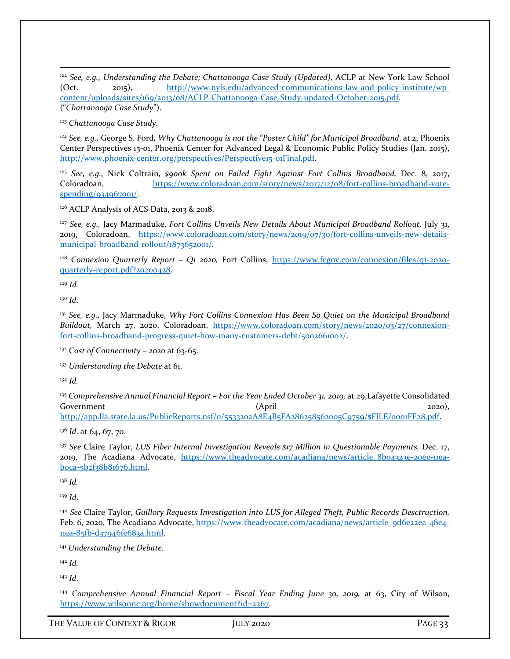<span id="page-35-0"></span><sup>122</sup> *See, e.g., Understanding the Debate; Chattanooga Case Study (Updated), ACLP at New York Law School* (Oct. 2015), [http://www.nyls.edu/advanced-communications-law-and-policy-institute/wp](http://www.nyls.edu/advanced-communications-law-and-policy-institute/wp-content/uploads/sites/169/2013/08/ACLP-Chattanooga-Case-Study-updated-October-2015.pdf)[content/uploads/sites/169/2013/08/ACLP-Chattanooga-Case-Study-updated-October-2015.pdf.](http://www.nyls.edu/advanced-communications-law-and-policy-institute/wp-content/uploads/sites/169/2013/08/ACLP-Chattanooga-Case-Study-updated-October-2015.pdf) ("*Chattanooga Case Study*").

<sup>123</sup> *Chattanooga Case Study.*

<span id="page-35-2"></span><span id="page-35-1"></span>*<sup>124</sup> See, e.g.,* George S. Ford*, Why Chattanooga is not the "Poster Child" for Municipal Broadband*, at 2, Phoenix Center Perspectives 15-01, Phoenix Center for Advanced Legal & Economic Public Policy Studies (Jan. 2015), [http://www.phoenix-center.org/perspectives/Perspective15-01Final.pdf.](http://www.phoenix-center.org/perspectives/Perspective15-01Final.pdf)

<sup>125</sup> *See, e.g.,* Nick Coltrain, *\$900k Spent on Failed Fight Against Fort Collins Broadband,* Dec. 8, 2017, Coloradoan, [https://www.coloradoan.com/story/news/2017/12/08/fort-collins-broadband-vote](https://www.coloradoan.com/story/news/2017/12/08/fort-collins-broadband-vote-spending/934967001/)[spending/934967001/.](https://www.coloradoan.com/story/news/2017/12/08/fort-collins-broadband-vote-spending/934967001/)

<span id="page-35-3"></span><sup>126</sup> ACLP Analysis of ACS Data, 2013 & 2018.

<span id="page-35-4"></span><sup>127</sup> See, e.g., Jacy Marmaduke, *Fort Collins Unveils New Details About Municipal Broadband Rollout*, July 31, 2019, Coloradoan, [https://www.coloradoan.com/story/news/2019/07/30/fort-collins-unveils-new-details](https://www.coloradoan.com/story/news/2019/07/30/fort-collins-unveils-new-details-municipal-broadband-rollout/1873652001/)[municipal-broadband-rollout/1873652001/.](https://www.coloradoan.com/story/news/2019/07/30/fort-collins-unveils-new-details-municipal-broadband-rollout/1873652001/) 

<span id="page-35-6"></span><span id="page-35-5"></span><sup>128</sup> Connexion Quarterly Report - Q1 2020, Fort Collins, [https://www.fcgov.com/connexion/files/q1-2020](https://www.fcgov.com/connexion/files/q1-2020-quarterly-report.pdf?20200428) [quarterly-report.pdf?20200428.](https://www.fcgov.com/connexion/files/q1-2020-quarterly-report.pdf?20200428)

<span id="page-35-7"></span><sup>129</sup> *Id.* 

<sup>130</sup> *Id*.

<span id="page-35-8"></span><sup>131</sup> *See, e.g.,* Jacy Marmaduke, *Why Fort Collins Connexion Has Been So Quiet on the Municipal Broadband Buildout,* March 27, 2020, Coloradoan, [https://www.coloradoan.com/story/news/2020/03/27/connexion](https://www.coloradoan.com/story/news/2020/03/27/connexion-fort-collins-broadband-progress-quiet-how-many-customers-debt/5002661002/)[fort-collins-broadband-progress-quiet-how-many-customers-debt/5002661002/.](https://www.coloradoan.com/story/news/2020/03/27/connexion-fort-collins-broadband-progress-quiet-how-many-customers-debt/5002661002/)

<span id="page-35-9"></span><sup>132</sup> *Cost of Connectivity – 2020* at 63-65.

<span id="page-35-10"></span><sup>133</sup> *Understanding the Debate* at 61.

<span id="page-35-11"></span><sup>134</sup> *Id.* 

<span id="page-35-13"></span><span id="page-35-12"></span><sup>135</sup> Comprehensive Annual Financial Report – For the Year Ended October 31, 2019, at 29, Lafayette Consolidated Government 2020), and 2020, and 2020, and 2020, and 2020, and 2020, and 2020, and 2020, and 2020, and 2020, and 2020, and 2020, and 2020, and 2020, and 2020, and 2020, and 2020, and 2020, and 2020, and 2020, and 2020, and [http://app.lla.state.la.us/PublicReports.nsf/0/5533202A8E4B5FA286258562005C9759/\\$FILE/0001FE28.pdf.](http://app.lla.state.la.us/PublicReports.nsf/0/5533202A8E4B5FA286258562005C9759/$FILE/0001FE28.pdf)

<sup>136</sup> *Id.* at 64, 67, 70.

<span id="page-35-14"></span><sup>137</sup> *See* Claire Taylor, *LUS Fiber Internal Investigation Reveals \$17 Million in Questionable Payments,* Dec. 17, 2019, The Acadiana Advocate, [https://www.theadvocate.com/acadiana/news/article\\_8b04323e-20ee-11ea](https://www.theadvocate.com/acadiana/news/article_8b04323e-20ee-11ea-b0ca-5b2f38b81676.html)[b0ca-5b2f38b81676.html.](https://www.theadvocate.com/acadiana/news/article_8b04323e-20ee-11ea-b0ca-5b2f38b81676.html)

<span id="page-35-15"></span><sup>138</sup> *Id.* 

<span id="page-35-16"></span><sup>139</sup> *Id*.

<sup>140</sup> *See* Claire Taylor, *Guillory Requests Investigation into LUS for Alleged Theft, Public Records Desctruction,*  Feb. 6, 2020, The Acadiana Advocate[, https://www.theadvocate.com/acadiana/news/article\\_9d6e22ea-48e4-](https://www.theadvocate.com/acadiana/news/article_9d6e22ea-48e4-11ea-85fb-d37946fe683a.html) [11ea-85fb-d37946fe683a.html.](https://www.theadvocate.com/acadiana/news/article_9d6e22ea-48e4-11ea-85fb-d37946fe683a.html) 

<span id="page-35-17"></span><sup>141</sup> *Understanding the Debate.* 

<sup>142</sup> *Id.* 

<span id="page-35-18"></span><sup>143</sup> *Id*.

<span id="page-35-19"></span><sup>144</sup> *Comprehensive Annual Financial Report – Fiscal Year Ending June 30, 2019,* at 63, City of Wilson, [https://www.wilsonnc.org/home/showdocument?id=2267.](https://www.wilsonnc.org/home/showdocument?id=2267)

THE VALUE OF CONTEXT & RIGOR JULY 2020